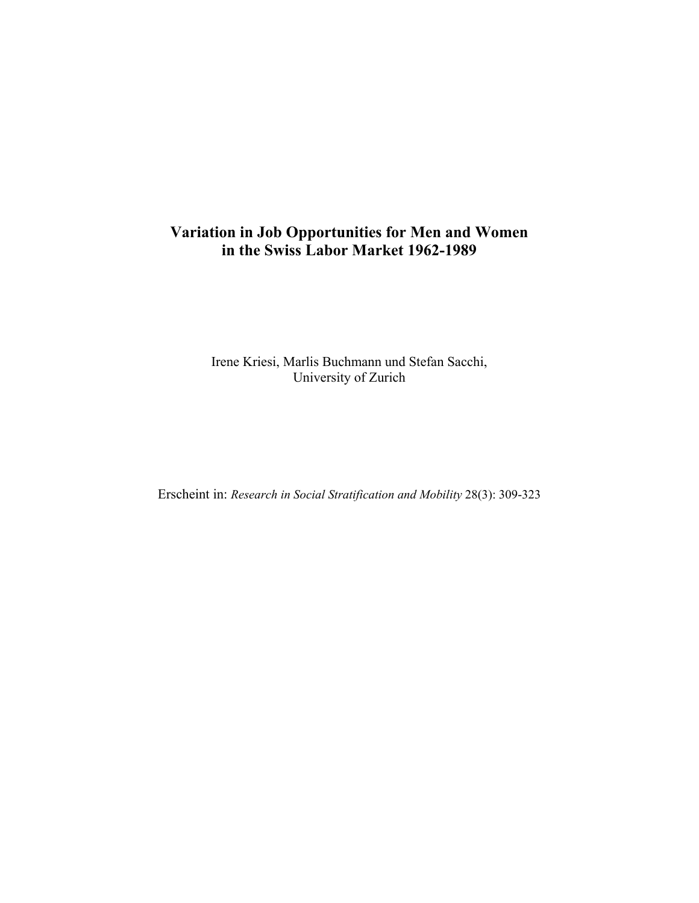# **Variation in Job Opportunities for Men and Women in the Swiss Labor Market 1962-1989**

Irene Kriesi, Marlis Buchmann und Stefan Sacchi, University of Zurich

Erscheint in: *Research in Social Stratification and Mobility* 28(3): 309-323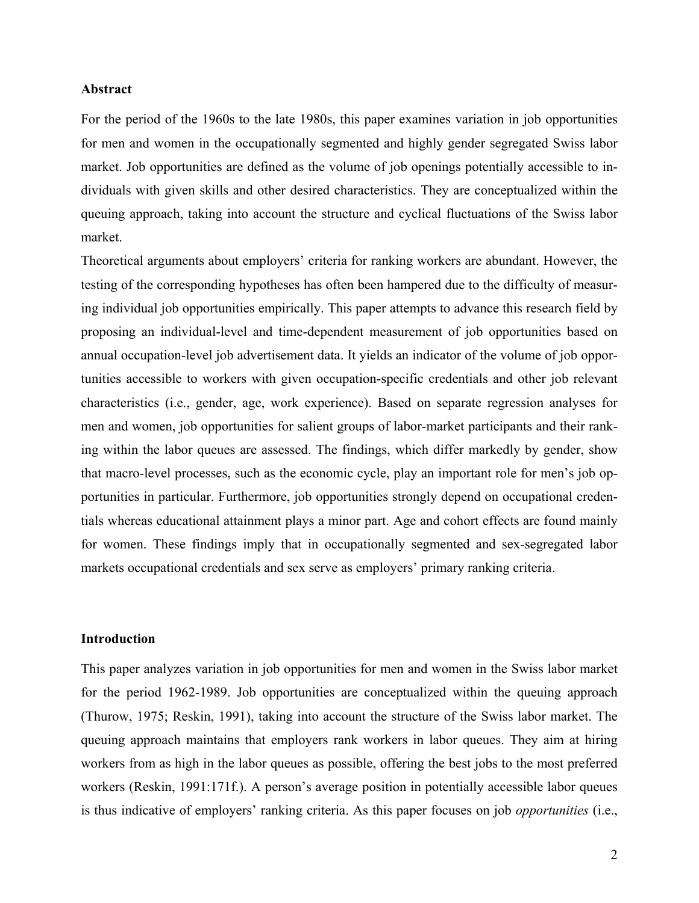#### **Abstract**

For the period of the 1960s to the late 1980s, this paper examines variation in job opportunities for men and women in the occupationally segmented and highly gender segregated Swiss labor market. Job opportunities are defined as the volume of job openings potentially accessible to individuals with given skills and other desired characteristics. They are conceptualized within the queuing approach, taking into account the structure and cyclical fluctuations of the Swiss labor market.

Theoretical arguments about employers' criteria for ranking workers are abundant. However, the testing of the corresponding hypotheses has often been hampered due to the difficulty of measuring individual job opportunities empirically. This paper attempts to advance this research field by proposing an individual-level and time-dependent measurement of job opportunities based on annual occupation-level job advertisement data. It yields an indicator of the volume of job opportunities accessible to workers with given occupation-specific credentials and other job relevant characteristics (i.e., gender, age, work experience). Based on separate regression analyses for men and women, job opportunities for salient groups of labor-market participants and their ranking within the labor queues are assessed. The findings, which differ markedly by gender, show that macro-level processes, such as the economic cycle, play an important role for men's job opportunities in particular. Furthermore, job opportunities strongly depend on occupational credentials whereas educational attainment plays a minor part. Age and cohort effects are found mainly for women. These findings imply that in occupationally segmented and sex-segregated labor markets occupational credentials and sex serve as employers' primary ranking criteria.

#### **Introduction**

This paper analyzes variation in job opportunities for men and women in the Swiss labor market for the period 1962-1989. Job opportunities are conceptualized within the queuing approach (Thurow, 1975; Reskin, 1991), taking into account the structure of the Swiss labor market. The queuing approach maintains that employers rank workers in labor queues. They aim at hiring workers from as high in the labor queues as possible, offering the best jobs to the most preferred workers (Reskin, 1991:171f.). A person's average position in potentially accessible labor queues is thus indicative of employers' ranking criteria. As this paper focuses on job *opportunities* (i.e.,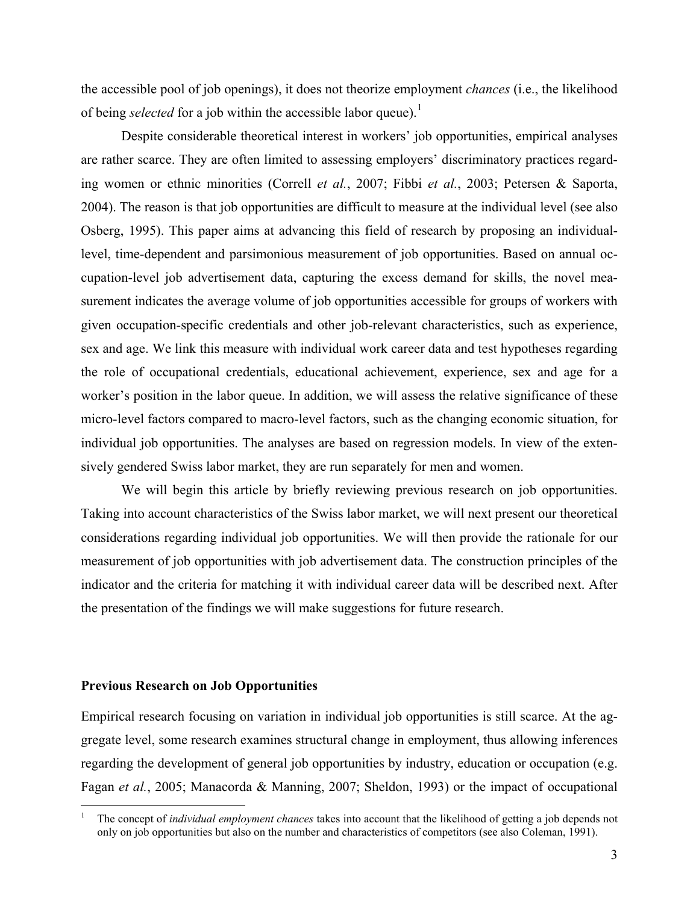the accessible pool of job openings), it does not theorize employment *chances* (i.e., the likelihood of being *selected* for a job within the accessible labor queue).<sup>[1](#page-2-0)</sup>

Despite considerable theoretical interest in workers' job opportunities, empirical analyses are rather scarce. They are often limited to assessing employers' discriminatory practices regarding women or ethnic minorities (Correll *et al.*, 2007; Fibbi *et al.*, 2003; Petersen & Saporta, 2004). The reason is that job opportunities are difficult to measure at the individual level (see also Osberg, 1995). This paper aims at advancing this field of research by proposing an individuallevel, time-dependent and parsimonious measurement of job opportunities. Based on annual occupation-level job advertisement data, capturing the excess demand for skills, the novel measurement indicates the average volume of job opportunities accessible for groups of workers with given occupation-specific credentials and other job-relevant characteristics, such as experience, sex and age. We link this measure with individual work career data and test hypotheses regarding the role of occupational credentials, educational achievement, experience, sex and age for a worker's position in the labor queue. In addition, we will assess the relative significance of these micro-level factors compared to macro-level factors, such as the changing economic situation, for individual job opportunities. The analyses are based on regression models. In view of the extensively gendered Swiss labor market, they are run separately for men and women.

We will begin this article by briefly reviewing previous research on job opportunities. Taking into account characteristics of the Swiss labor market, we will next present our theoretical considerations regarding individual job opportunities. We will then provide the rationale for our measurement of job opportunities with job advertisement data. The construction principles of the indicator and the criteria for matching it with individual career data will be described next. After the presentation of the findings we will make suggestions for future research.

#### **Previous Research on Job Opportunities**

 $\overline{a}$ 

Empirical research focusing on variation in individual job opportunities is still scarce. At the aggregate level, some research examines structural change in employment, thus allowing inferences regarding the development of general job opportunities by industry, education or occupation (e.g. Fagan *et al.*, 2005; Manacorda & Manning, 2007; Sheldon, 1993) or the impact of occupational

<span id="page-2-0"></span><sup>1</sup> The concept of *individual employment chances* takes into account that the likelihood of getting a job depends not only on job opportunities but also on the number and characteristics of competitors (see also Coleman, 1991).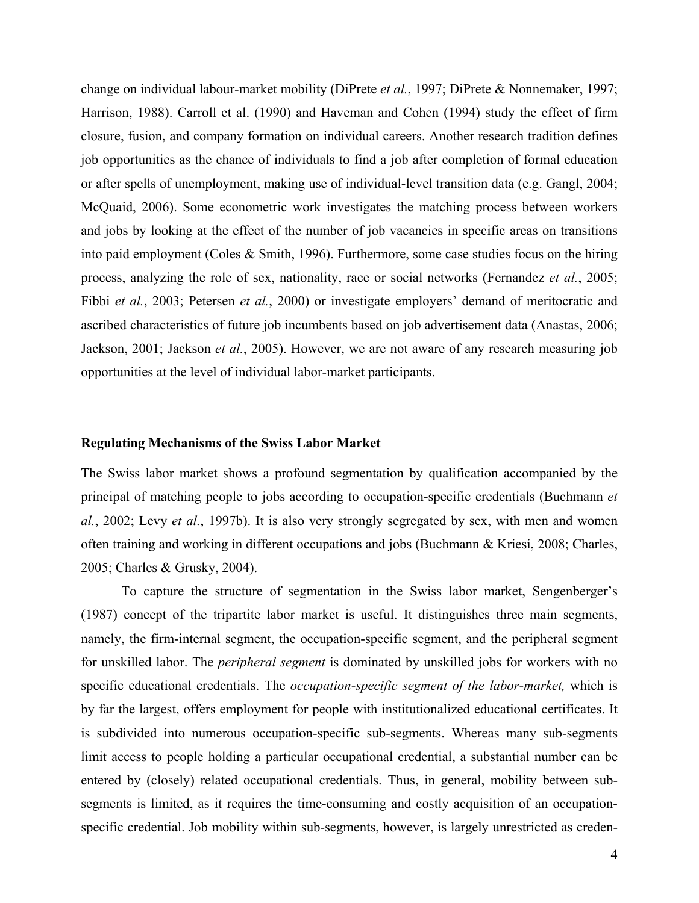change on individual labour-market mobility (DiPrete *et al.*, 1997; DiPrete & Nonnemaker, 1997; Harrison, 1988). Carroll et al. (1990) and Haveman and Cohen (1994) study the effect of firm closure, fusion, and company formation on individual careers. Another research tradition defines job opportunities as the chance of individuals to find a job after completion of formal education or after spells of unemployment, making use of individual-level transition data (e.g. Gangl, 2004; McQuaid, 2006). Some econometric work investigates the matching process between workers and jobs by looking at the effect of the number of job vacancies in specific areas on transitions into paid employment (Coles & Smith, 1996). Furthermore, some case studies focus on the hiring process, analyzing the role of sex, nationality, race or social networks (Fernandez *et al.*, 2005; Fibbi *et al.*, 2003; Petersen *et al.*, 2000) or investigate employers' demand of meritocratic and ascribed characteristics of future job incumbents based on job advertisement data (Anastas, 2006; Jackson, 2001; Jackson *et al.*, 2005). However, we are not aware of any research measuring job opportunities at the level of individual labor-market participants.

#### **Regulating Mechanisms of the Swiss Labor Market**

The Swiss labor market shows a profound segmentation by qualification accompanied by the principal of matching people to jobs according to occupation-specific credentials (Buchmann *et al.*, 2002; Levy *et al.*, 1997b). It is also very strongly segregated by sex, with men and women often training and working in different occupations and jobs (Buchmann & Kriesi, 2008; Charles, 2005; Charles & Grusky, 2004).

To capture the structure of segmentation in the Swiss labor market, Sengenberger's (1987) concept of the tripartite labor market is useful. It distinguishes three main segments, namely, the firm-internal segment, the occupation-specific segment, and the peripheral segment for unskilled labor. The *peripheral segment* is dominated by unskilled jobs for workers with no specific educational credentials. The *occupation-specific segment of the labor-market,* which is by far the largest, offers employment for people with institutionalized educational certificates. It is subdivided into numerous occupation-specific sub-segments. Whereas many sub-segments limit access to people holding a particular occupational credential, a substantial number can be entered by (closely) related occupational credentials. Thus, in general, mobility between subsegments is limited, as it requires the time-consuming and costly acquisition of an occupationspecific credential. Job mobility within sub-segments, however, is largely unrestricted as creden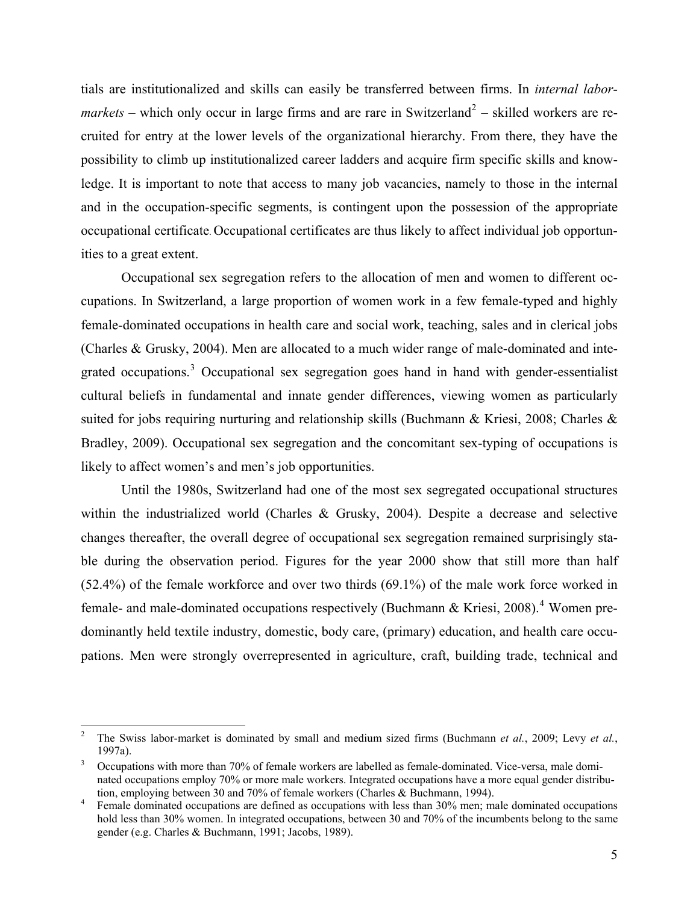tials are institutionalized and skills can easily be transferred between firms. In *internal labor* $markets$  – which only occur in large firms and are rare in Switzerland<sup>[2](#page-4-0)</sup> – skilled workers are recruited for entry at the lower levels of the organizational hierarchy. From there, they have the possibility to climb up institutionalized career ladders and acquire firm specific skills and knowledge. It is important to note that access to many job vacancies, namely to those in the internal and in the occupation-specific segments, is contingent upon the possession of the appropriate occupational certificate. Occupational certificates are thus likely to affect individual job opportunities to a great extent.

Occupational sex segregation refers to the allocation of men and women to different occupations. In Switzerland, a large proportion of women work in a few female-typed and highly female-dominated occupations in health care and social work, teaching, sales and in clerical jobs (Charles & Grusky, 2004). Men are allocated to a much wider range of male-dominated and inte-grated occupations.<sup>[3](#page-4-1)</sup> Occupational sex segregation goes hand in hand with gender-essentialist cultural beliefs in fundamental and innate gender differences, viewing women as particularly suited for jobs requiring nurturing and relationship skills (Buchmann & Kriesi, 2008; Charles & Bradley, 2009). Occupational sex segregation and the concomitant sex-typing of occupations is likely to affect women's and men's job opportunities.

Until the 1980s, Switzerland had one of the most sex segregated occupational structures within the industrialized world (Charles & Grusky, 2004). Despite a decrease and selective changes thereafter, the overall degree of occupational sex segregation remained surprisingly stable during the observation period. Figures for the year 2000 show that still more than half (52.4%) of the female workforce and over two thirds (69.1%) of the male work force worked in female- and male-dominated occupations respectively (Buchmann & Kriesi, 2008).<sup>[4](#page-4-2)</sup> Women predominantly held textile industry, domestic, body care, (primary) education, and health care occupations. Men were strongly overrepresented in agriculture, craft, building trade, technical and

 $\overline{a}$ 

<span id="page-4-0"></span><sup>2</sup> The Swiss labor-market is dominated by small and medium sized firms (Buchmann *et al.*, 2009; Levy *et al.*, 1997a).

<span id="page-4-1"></span>Occupations with more than 70% of female workers are labelled as female-dominated. Vice-versa, male dominated occupations employ 70% or more male workers. Integrated occupations have a more equal gender distribution, employing between 30 and 70% of female workers (Charles & Buchmann, 1994).

<span id="page-4-2"></span>Female dominated occupations are defined as occupations with less than 30% men; male dominated occupations hold less than 30% women. In integrated occupations, between 30 and 70% of the incumbents belong to the same gender (e.g. Charles & Buchmann, 1991; Jacobs, 1989).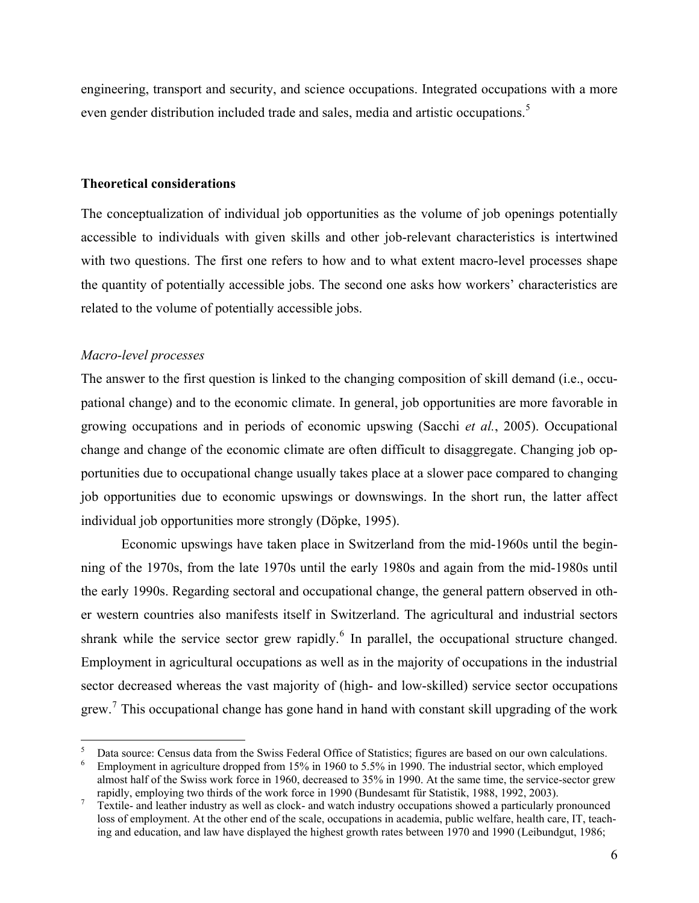engineering, transport and security, and science occupations. Integrated occupations with a more even gender distribution included trade and sales, media and artistic occupations.<sup>[5](#page-5-0)</sup>

#### **Theoretical considerations**

The conceptualization of individual job opportunities as the volume of job openings potentially accessible to individuals with given skills and other job-relevant characteristics is intertwined with two questions. The first one refers to how and to what extent macro-level processes shape the quantity of potentially accessible jobs. The second one asks how workers' characteristics are related to the volume of potentially accessible jobs.

#### *Macro-level processes*

 $\overline{a}$ 

The answer to the first question is linked to the changing composition of skill demand (i.e., occupational change) and to the economic climate. In general, job opportunities are more favorable in growing occupations and in periods of economic upswing (Sacchi *et al.*, 2005). Occupational change and change of the economic climate are often difficult to disaggregate. Changing job opportunities due to occupational change usually takes place at a slower pace compared to changing job opportunities due to economic upswings or downswings. In the short run, the latter affect individual job opportunities more strongly (Döpke, 1995).

Economic upswings have taken place in Switzerland from the mid-1960s until the beginning of the 1970s, from the late 1970s until the early 1980s and again from the mid-1980s until the early 1990s. Regarding sectoral and occupational change, the general pattern observed in other western countries also manifests itself in Switzerland. The agricultural and industrial sectors shrank while the service sector grew rapidly. $<sup>6</sup>$  $<sup>6</sup>$  $<sup>6</sup>$  In parallel, the occupational structure changed.</sup> Employment in agricultural occupations as well as in the majority of occupations in the industrial sector decreased whereas the vast majority of (high- and low-skilled) service sector occupations grew.<sup>[7](#page-5-2)</sup> This occupational change has gone hand in hand with constant skill upgrading of the work

<span id="page-5-0"></span><sup>5</sup> Data source: Census data from the Swiss Federal Office of Statistics; figures are based on our own calculations.

<span id="page-5-1"></span>Employment in agriculture dropped from 15% in 1960 to 5.5% in 1990. The industrial sector, which employed almost half of the Swiss work force in 1960, decreased to 35% in 1990. At the same time, the service-sector grew rapidly, employing two thirds of the work force in 1990 (Bundesamt für Statistik, 1988, 1992, 2003).<br>7 Textile, and leather industry as well as clock, and watch industry occupations showed a particularly n

<span id="page-5-2"></span>Textile- and leather industry as well as clock- and watch industry occupations showed a particularly pronounced loss of employment. At the other end of the scale, occupations in academia, public welfare, health care, IT, teaching and education, and law have displayed the highest growth rates between 1970 and 1990 (Leibundgut, 1986;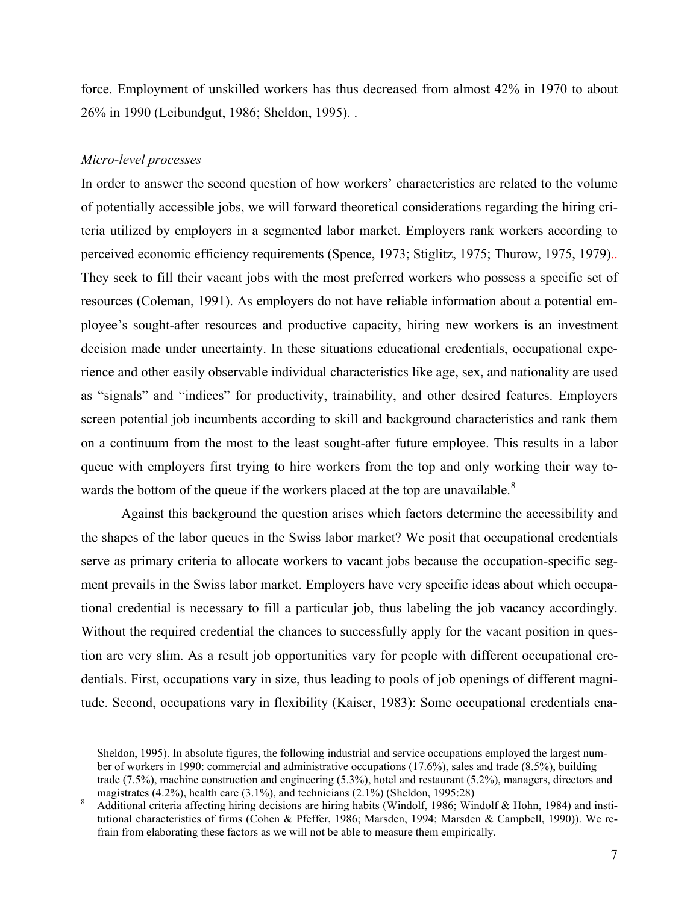force. Employment of unskilled workers has thus decreased from almost 42% in 1970 to about 26% in 1990 (Leibundgut, 1986; Sheldon, 1995). .

## *Micro-level processes*

In order to answer the second question of how workers' characteristics are related to the volume of potentially accessible jobs, we will forward theoretical considerations regarding the hiring criteria utilized by employers in a segmented labor market. Employers rank workers according to perceived economic efficiency requirements (Spence, 1973; Stiglitz, 1975; Thurow, 1975, 1979).. They seek to fill their vacant jobs with the most preferred workers who possess a specific set of resources (Coleman, 1991). As employers do not have reliable information about a potential employee's sought-after resources and productive capacity, hiring new workers is an investment decision made under uncertainty. In these situations educational credentials, occupational experience and other easily observable individual characteristics like age, sex, and nationality are used as "signals" and "indices" for productivity, trainability, and other desired features. Employers screen potential job incumbents according to skill and background characteristics and rank them on a continuum from the most to the least sought-after future employee. This results in a labor queue with employers first trying to hire workers from the top and only working their way towards the bottom of the queue if the workers placed at the top are unavailable. $8<sup>8</sup>$  $8<sup>8</sup>$ 

Against this background the question arises which factors determine the accessibility and the shapes of the labor queues in the Swiss labor market? We posit that occupational credentials serve as primary criteria to allocate workers to vacant jobs because the occupation-specific segment prevails in the Swiss labor market. Employers have very specific ideas about which occupational credential is necessary to fill a particular job, thus labeling the job vacancy accordingly. Without the required credential the chances to successfully apply for the vacant position in question are very slim. As a result job opportunities vary for people with different occupational credentials. First, occupations vary in size, thus leading to pools of job openings of different magnitude. Second, occupations vary in flexibility (Kaiser, 1983): Some occupational credentials ena-

Sheldon, 1995). In absolute figures, the following industrial and service occupations employed the largest number of workers in 1990: commercial and administrative occupations (17.6%), sales and trade (8.5%), building trade (7.5%), machine construction and engineering (5.3%), hotel and restaurant (5.2%), managers, directors and magistrates (4.2%), health care (3.1%), and technicians (2.1%) (Sheldon, 1995:28)

<span id="page-6-0"></span>Additional criteria affecting hiring decisions are hiring habits (Windolf, 1986; Windolf & Hohn, 1984) and institutional characteristics of firms (Cohen & Pfeffer, 1986; Marsden, 1994; Marsden & Campbell, 1990)). We refrain from elaborating these factors as we will not be able to measure them empirically.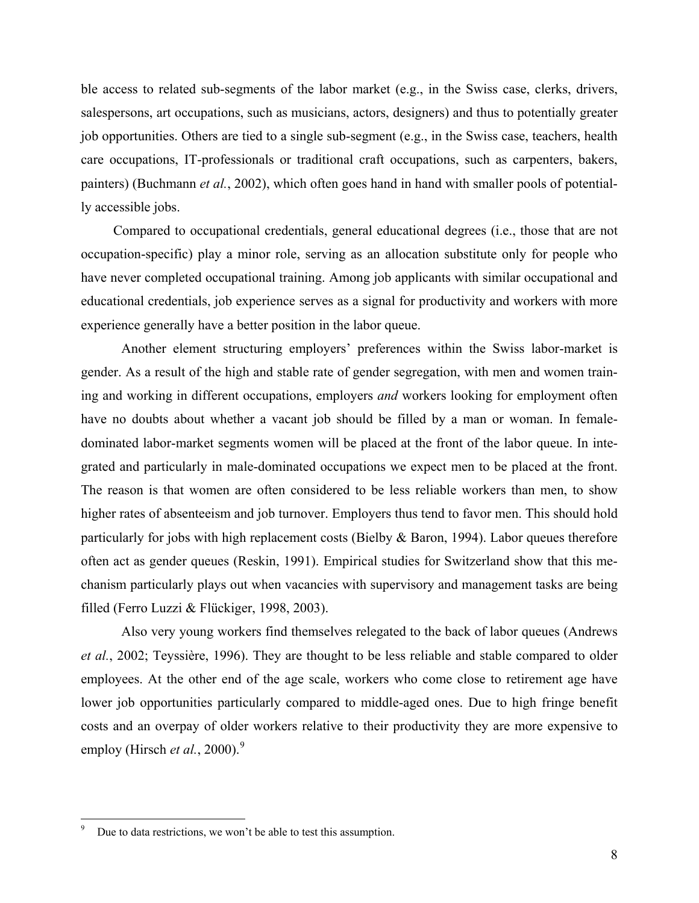ble access to related sub-segments of the labor market (e.g., in the Swiss case, clerks, drivers, salespersons, art occupations, such as musicians, actors, designers) and thus to potentially greater job opportunities. Others are tied to a single sub-segment (e.g., in the Swiss case, teachers, health care occupations, IT-professionals or traditional craft occupations, such as carpenters, bakers, painters) (Buchmann *et al.*, 2002), which often goes hand in hand with smaller pools of potentially accessible jobs.

Compared to occupational credentials, general educational degrees (i.e., those that are not occupation-specific) play a minor role, serving as an allocation substitute only for people who have never completed occupational training. Among job applicants with similar occupational and educational credentials, job experience serves as a signal for productivity and workers with more experience generally have a better position in the labor queue.

Another element structuring employers' preferences within the Swiss labor-market is gender. As a result of the high and stable rate of gender segregation, with men and women training and working in different occupations, employers *and* workers looking for employment often have no doubts about whether a vacant job should be filled by a man or woman. In femaledominated labor-market segments women will be placed at the front of the labor queue. In integrated and particularly in male-dominated occupations we expect men to be placed at the front. The reason is that women are often considered to be less reliable workers than men, to show higher rates of absenteeism and job turnover. Employers thus tend to favor men. This should hold particularly for jobs with high replacement costs (Bielby & Baron, 1994). Labor queues therefore often act as gender queues (Reskin, 1991). Empirical studies for Switzerland show that this mechanism particularly plays out when vacancies with supervisory and management tasks are being filled (Ferro Luzzi & Flückiger, 1998, 2003).

Also very young workers find themselves relegated to the back of labor queues (Andrews *et al.*, 2002; Teyssière, 1996). They are thought to be less reliable and stable compared to older employees. At the other end of the age scale, workers who come close to retirement age have lower job opportunities particularly compared to middle-aged ones. Due to high fringe benefit costs and an overpay of older workers relative to their productivity they are more expensive to employ (Hirsch *et al.*, 2000).<sup>[9](#page-7-0)</sup>

 $\overline{a}$ 

<span id="page-7-0"></span><sup>9</sup> Due to data restrictions, we won't be able to test this assumption.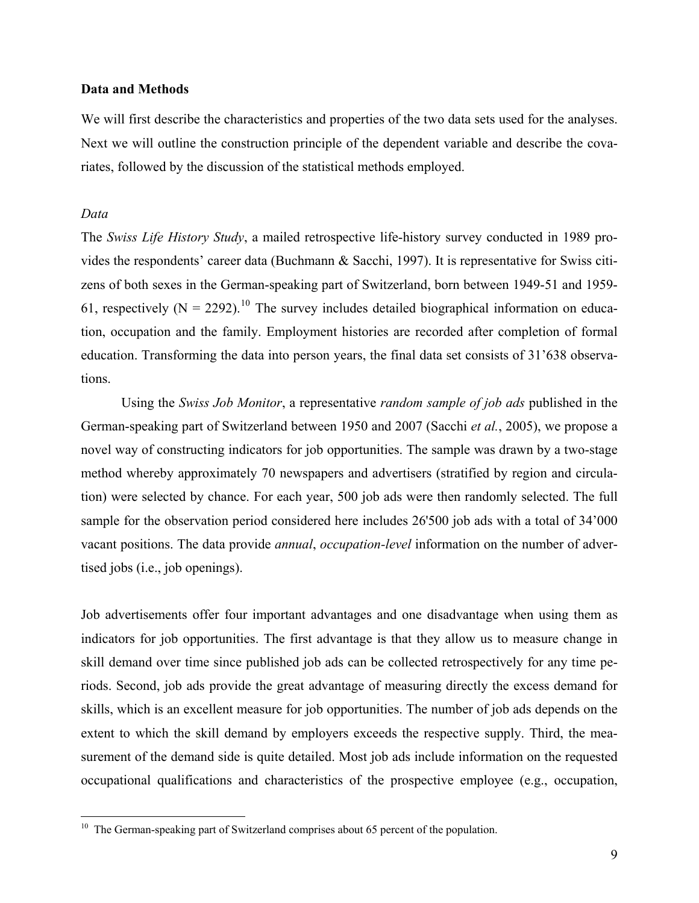#### **Data and Methods**

We will first describe the characteristics and properties of the two data sets used for the analyses. Next we will outline the construction principle of the dependent variable and describe the covariates, followed by the discussion of the statistical methods employed.

## *Data*

 $\overline{a}$ 

The *Swiss Life History Study*, a mailed retrospective life-history survey conducted in 1989 provides the respondents' career data (Buchmann & Sacchi, 1997). It is representative for Swiss citizens of both sexes in the German-speaking part of Switzerland, born between 1949-51 and 1959- 61, respectively  $(N = 2292)^{10}$  $(N = 2292)^{10}$  $(N = 2292)^{10}$  The survey includes detailed biographical information on education, occupation and the family. Employment histories are recorded after completion of formal education. Transforming the data into person years, the final data set consists of 31'638 observations.

Using the *Swiss Job Monitor*, a representative *random sample of job ads* published in the German-speaking part of Switzerland between 1950 and 2007 (Sacchi *et al.*, 2005), we propose a novel way of constructing indicators for job opportunities. The sample was drawn by a two-stage method whereby approximately 70 newspapers and advertisers (stratified by region and circulation) were selected by chance. For each year, 500 job ads were then randomly selected. The full sample for the observation period considered here includes 26'500 job ads with a total of 34'000 vacant positions. The data provide *annual*, *occupation-level* information on the number of advertised jobs (i.e., job openings).

Job advertisements offer four important advantages and one disadvantage when using them as indicators for job opportunities. The first advantage is that they allow us to measure change in skill demand over time since published job ads can be collected retrospectively for any time periods. Second, job ads provide the great advantage of measuring directly the excess demand for skills, which is an excellent measure for job opportunities. The number of job ads depends on the extent to which the skill demand by employers exceeds the respective supply. Third, the measurement of the demand side is quite detailed. Most job ads include information on the requested occupational qualifications and characteristics of the prospective employee (e.g., occupation,

<span id="page-8-0"></span> $10$  The German-speaking part of Switzerland comprises about 65 percent of the population.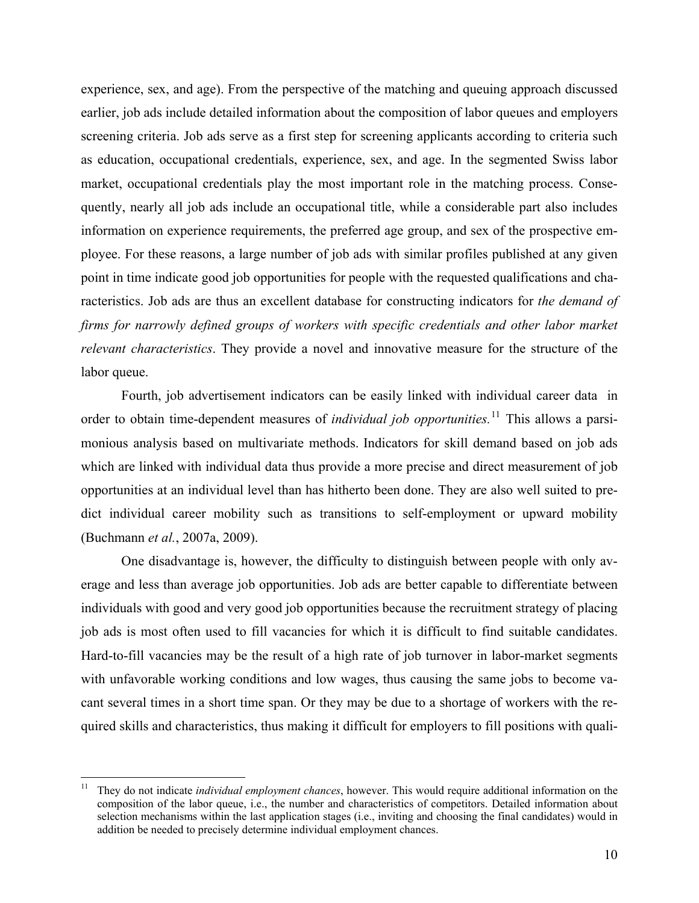experience, sex, and age). From the perspective of the matching and queuing approach discussed earlier, job ads include detailed information about the composition of labor queues and employers screening criteria. Job ads serve as a first step for screening applicants according to criteria such as education, occupational credentials, experience, sex, and age. In the segmented Swiss labor market, occupational credentials play the most important role in the matching process. Consequently, nearly all job ads include an occupational title, while a considerable part also includes information on experience requirements, the preferred age group, and sex of the prospective employee. For these reasons, a large number of job ads with similar profiles published at any given point in time indicate good job opportunities for people with the requested qualifications and characteristics. Job ads are thus an excellent database for constructing indicators for *the demand of firms for narrowly defined groups of workers with specific credentials and other labor market relevant characteristics*. They provide a novel and innovative measure for the structure of the labor queue.

Fourth, job advertisement indicators can be easily linked with individual career data in order to obtain time-dependent measures of *individual job opportunities.*[11](#page-9-0) This allows a parsimonious analysis based on multivariate methods. Indicators for skill demand based on job ads which are linked with individual data thus provide a more precise and direct measurement of job opportunities at an individual level than has hitherto been done. They are also well suited to predict individual career mobility such as transitions to self-employment or upward mobility (Buchmann *et al.*, 2007a, 2009).

One disadvantage is, however, the difficulty to distinguish between people with only average and less than average job opportunities. Job ads are better capable to differentiate between individuals with good and very good job opportunities because the recruitment strategy of placing job ads is most often used to fill vacancies for which it is difficult to find suitable candidates. Hard-to-fill vacancies may be the result of a high rate of job turnover in labor-market segments with unfavorable working conditions and low wages, thus causing the same jobs to become vacant several times in a short time span. Or they may be due to a shortage of workers with the required skills and characteristics, thus making it difficult for employers to fill positions with quali-

<span id="page-9-0"></span> $11 -$ 11 They do not indicate *individual employment chances*, however. This would require additional information on the composition of the labor queue, i.e., the number and characteristics of competitors. Detailed information about selection mechanisms within the last application stages (i.e., inviting and choosing the final candidates) would in addition be needed to precisely determine individual employment chances.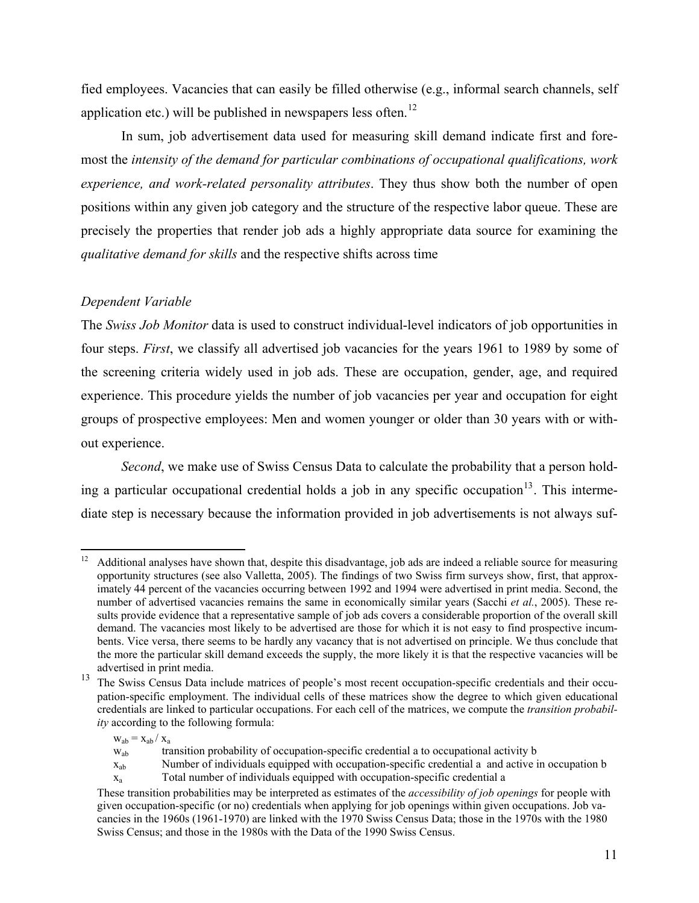fied employees. Vacancies that can easily be filled otherwise (e.g., informal search channels, self application etc.) will be published in newspapers less often.<sup>[12](#page-10-0)</sup>

In sum, job advertisement data used for measuring skill demand indicate first and foremost the *intensity of the demand for particular combinations of occupational qualifications, work experience, and work-related personality attributes*. They thus show both the number of open positions within any given job category and the structure of the respective labor queue. These are precisely the properties that render job ads a highly appropriate data source for examining the *qualitative demand for skills* and the respective shifts across time

## *Dependent Variable*

The *Swiss Job Monitor* data is used to construct individual-level indicators of job opportunities in four steps. *First*, we classify all advertised job vacancies for the years 1961 to 1989 by some of the screening criteria widely used in job ads. These are occupation, gender, age, and required experience. This procedure yields the number of job vacancies per year and occupation for eight groups of prospective employees: Men and women younger or older than 30 years with or without experience.

*Second*, we make use of Swiss Census Data to calculate the probability that a person hold-ing a particular occupational credential holds a job in any specific occupation<sup>[13](#page-10-1)</sup>. This intermediate step is necessary because the information provided in job advertisements is not always suf-

<span id="page-10-0"></span> $12 \,$ 12 Additional analyses have shown that, despite this disadvantage, job ads are indeed a reliable source for measuring opportunity structures (see also Valletta, 2005). The findings of two Swiss firm surveys show, first, that approximately 44 percent of the vacancies occurring between 1992 and 1994 were advertised in print media. Second, the number of advertised vacancies remains the same in economically similar years (Sacchi *et al.*, 2005). These results provide evidence that a representative sample of job ads covers a considerable proportion of the overall skill demand. The vacancies most likely to be advertised are those for which it is not easy to find prospective incumbents. Vice versa, there seems to be hardly any vacancy that is not advertised on principle. We thus conclude that the more the particular skill demand exceeds the supply, the more likely it is that the respective vacancies will be advertised in print media.

<span id="page-10-1"></span><sup>&</sup>lt;sup>13</sup> The Swiss Census Data include matrices of people's most recent occupation-specific credentials and their occupation-specific employment. The individual cells of these matrices show the degree to which given educational credentials are linked to particular occupations. For each cell of the matrices, we compute the *transition probability* according to the following formula:

 $w_{ab} = x_{ab} / x_a$ 

wab transition probability of occupation-specific credential a to occupational activity b

 $x_{ab}$  Number of individuals equipped with occupation-specific credential a and active in occupation b

 $x_a$  Total number of individuals equipped with occupation-specific credential a

These transition probabilities may be interpreted as estimates of the *accessibility of job openings* for people with given occupation-specific (or no) credentials when applying for job openings within given occupations. Job vacancies in the 1960s (1961-1970) are linked with the 1970 Swiss Census Data; those in the 1970s with the 1980 Swiss Census; and those in the 1980s with the Data of the 1990 Swiss Census.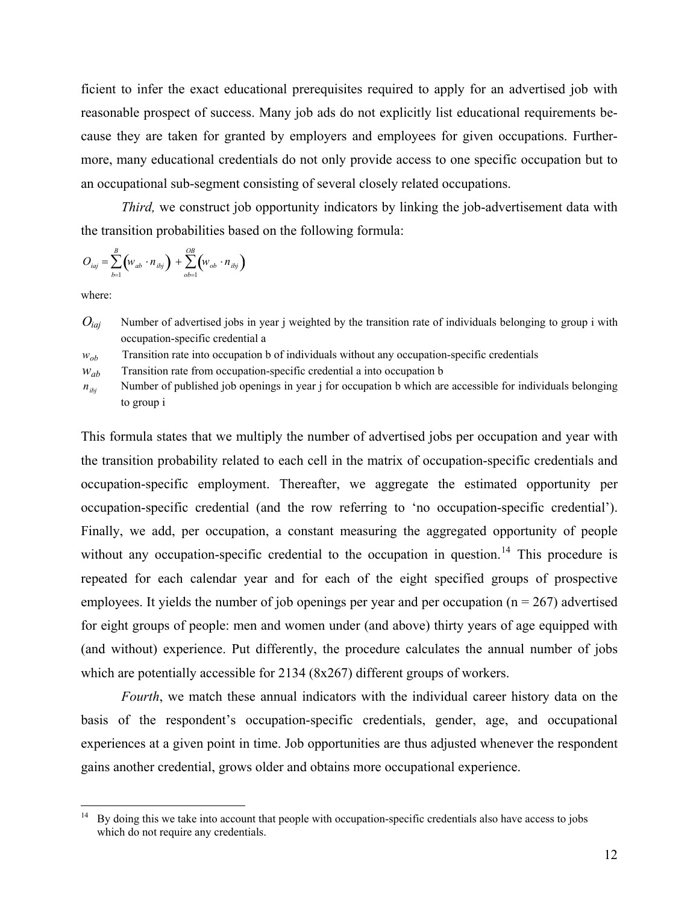ficient to infer the exact educational prerequisites required to apply for an advertised job with reasonable prospect of success. Many job ads do not explicitly list educational requirements because they are taken for granted by employers and employees for given occupations. Furthermore, many educational credentials do not only provide access to one specific occupation but to an occupational sub-segment consisting of several closely related occupations.

*Third*, we construct job opportunity indicators by linking the job-advertisement data with the transition probabilities based on the following formula:

$$
O_{iaj} = \sum_{b=1}^{B} (w_{ab} \cdot n_{ibj}) + \sum_{ob=1}^{OB} (w_{ob} \cdot n_{ibj})
$$

where:

 $\overline{a}$ 

*Oiaj* Number of advertised jobs in year j weighted by the transition rate of individuals belonging to group i with occupation-specific credential a

 $w_{ob}$  Transition rate into occupation b of individuals without any occupation-specific credentials

 $w_{ab}$  Transition rate from occupation-specific credential a into occupation b

 $n_{ibi}$  Number of published job openings in year j for occupation b which are accessible for individuals belonging to group i

This formula states that we multiply the number of advertised jobs per occupation and year with the transition probability related to each cell in the matrix of occupation-specific credentials and occupation-specific employment. Thereafter, we aggregate the estimated opportunity per occupation-specific credential (and the row referring to 'no occupation-specific credential'). Finally, we add, per occupation, a constant measuring the aggregated opportunity of people without any occupation-specific credential to the occupation in question.<sup>[14](#page-11-0)</sup> This procedure is repeated for each calendar year and for each of the eight specified groups of prospective employees. It yields the number of job openings per year and per occupation ( $n = 267$ ) advertised for eight groups of people: men and women under (and above) thirty years of age equipped with (and without) experience. Put differently, the procedure calculates the annual number of jobs which are potentially accessible for 2134 (8x267) different groups of workers.

*Fourth*, we match these annual indicators with the individual career history data on the basis of the respondent's occupation-specific credentials, gender, age, and occupational experiences at a given point in time. Job opportunities are thus adjusted whenever the respondent gains another credential, grows older and obtains more occupational experience.

<span id="page-11-0"></span><sup>14</sup> By doing this we take into account that people with occupation-specific credentials also have access to jobs which do not require any credentials.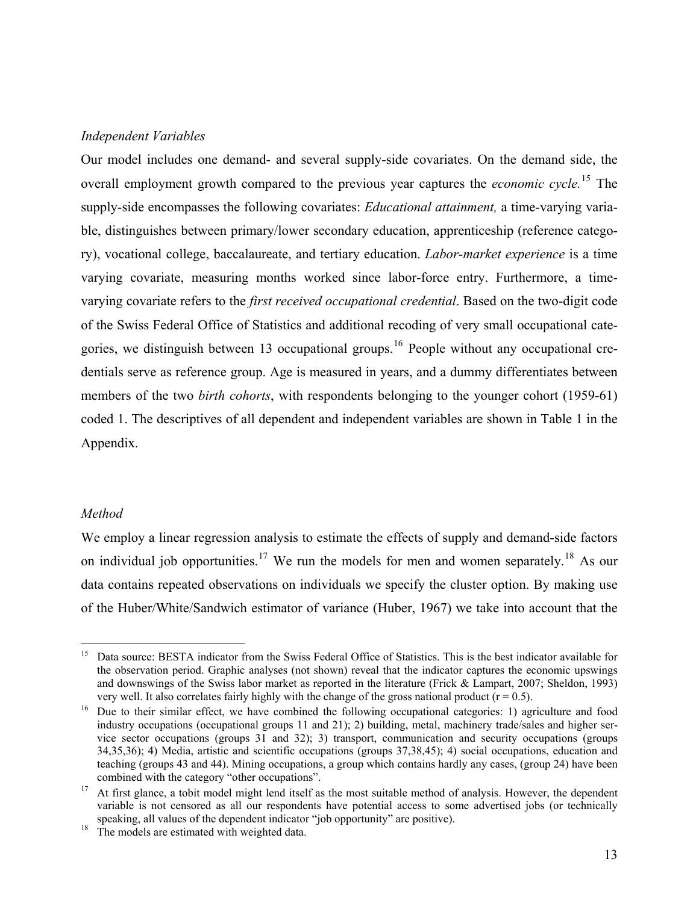## *Independent Variables*

Our model includes one demand- and several supply-side covariates. On the demand side, the overall employment growth compared to the previous year captures the *economic cycle.*[15](#page-12-0) The supply-side encompasses the following covariates: *Educational attainment,* a time-varying variable, distinguishes between primary/lower secondary education, apprenticeship (reference category), vocational college, baccalaureate, and tertiary education. *Labor-market experience* is a time varying covariate, measuring months worked since labor-force entry. Furthermore, a timevarying covariate refers to the *first received occupational credential*. Based on the two-digit code of the Swiss Federal Office of Statistics and additional recoding of very small occupational cate-gories, we distinguish between 13 occupational groups.<sup>[16](#page-12-1)</sup> People without any occupational credentials serve as reference group. Age is measured in years, and a dummy differentiates between members of the two *birth cohorts*, with respondents belonging to the younger cohort (1959-61) coded 1. The descriptives of all dependent and independent variables are shown in Table 1 in the Appendix.

## *Method*

We employ a linear regression analysis to estimate the effects of supply and demand-side factors on individual job opportunities.<sup>[17](#page-12-2)</sup> We run the models for men and women separately.<sup>[18](#page-12-3)</sup> As our data contains repeated observations on individuals we specify the cluster option. By making use of the Huber/White/Sandwich estimator of variance (Huber, 1967) we take into account that the

<span id="page-12-0"></span><sup>15</sup> Data source: BESTA indicator from the Swiss Federal Office of Statistics. This is the best indicator available for the observation period. Graphic analyses (not shown) reveal that the indicator captures the economic upswings and downswings of the Swiss labor market as reported in the literature (Frick & Lampart, 2007; Sheldon, 1993) very well. It also correlates fairly highly with the change of the gross national product ( $r = 0.5$ ).

<span id="page-12-1"></span><sup>&</sup>lt;sup>16</sup> Due to their similar effect, we have combined the following occupational categories: 1) agriculture and food industry occupations (occupational groups 11 and 21); 2) building, metal, machinery trade/sales and higher service sector occupations (groups 31 and 32); 3) transport, communication and security occupations (groups 34,35,36); 4) Media, artistic and scientific occupations (groups 37,38,45); 4) social occupations, education and teaching (groups 43 and 44). Mining occupations, a group which contains hardly any cases, (group 24) have been

<span id="page-12-2"></span><sup>&</sup>lt;sup>17</sup> At first glance, a tobit model might lend itself as the most suitable method of analysis. However, the dependent variable is not censored as all our respondents have potential access to some advertised jobs (or technically speaking, all values of the dependent indicator "job opportunity" are positive). The models are estimated with weighted data.

<span id="page-12-3"></span>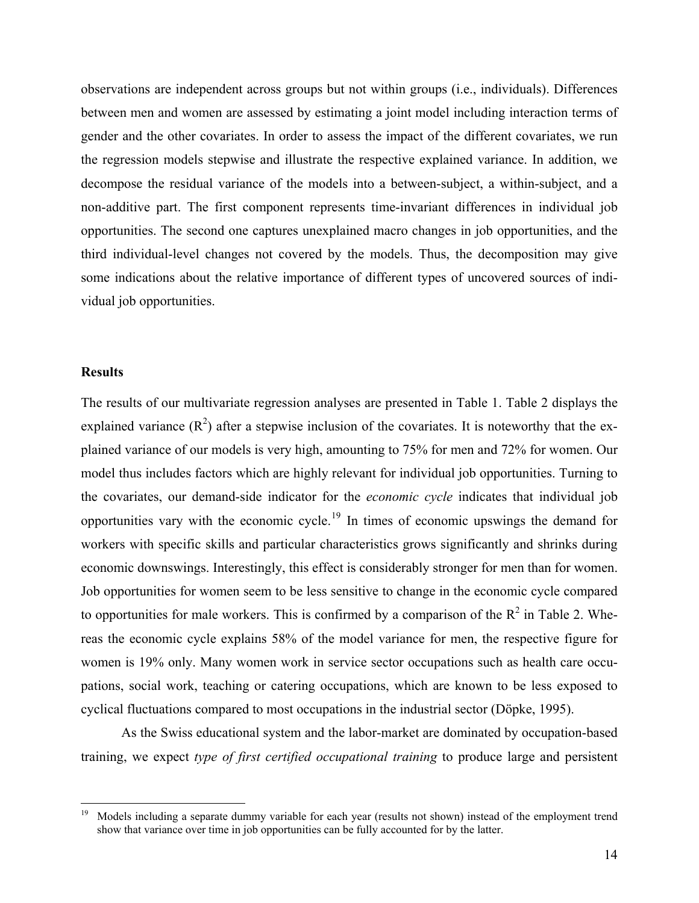observations are independent across groups but not within groups (i.e., individuals). Differences between men and women are assessed by estimating a joint model including interaction terms of gender and the other covariates. In order to assess the impact of the different covariates, we run the regression models stepwise and illustrate the respective explained variance. In addition, we decompose the residual variance of the models into a between-subject, a within-subject, and a non-additive part. The first component represents time-invariant differences in individual job opportunities. The second one captures unexplained macro changes in job opportunities, and the third individual-level changes not covered by the models. Thus, the decomposition may give some indications about the relative importance of different types of uncovered sources of individual job opportunities.

#### **Results**

 $\overline{a}$ 

The results of our multivariate regression analyses are presented in Table 1. Table 2 displays the explained variance  $(R^2)$  after a stepwise inclusion of the covariates. It is noteworthy that the explained variance of our models is very high, amounting to 75% for men and 72% for women. Our model thus includes factors which are highly relevant for individual job opportunities. Turning to the covariates, our demand-side indicator for the *economic cycle* indicates that individual job opportunities vary with the economic cycle.<sup>[19](#page-13-0)</sup> In times of economic upswings the demand for workers with specific skills and particular characteristics grows significantly and shrinks during economic downswings. Interestingly, this effect is considerably stronger for men than for women. Job opportunities for women seem to be less sensitive to change in the economic cycle compared to opportunities for male workers. This is confirmed by a comparison of the  $R^2$  in Table 2. Whereas the economic cycle explains 58% of the model variance for men, the respective figure for women is 19% only. Many women work in service sector occupations such as health care occupations, social work, teaching or catering occupations, which are known to be less exposed to cyclical fluctuations compared to most occupations in the industrial sector (Döpke, 1995).

As the Swiss educational system and the labor-market are dominated by occupation-based training, we expect *type of first certified occupational training* to produce large and persistent

<span id="page-13-0"></span><sup>19</sup> Models including a separate dummy variable for each year (results not shown) instead of the employment trend show that variance over time in job opportunities can be fully accounted for by the latter.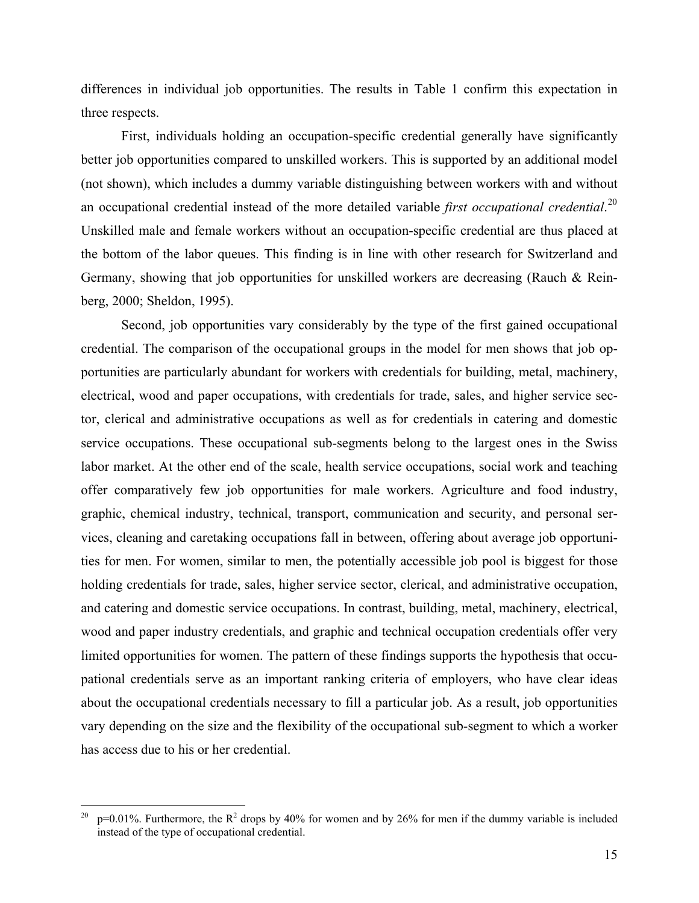differences in individual job opportunities. The results in Table 1 confirm this expectation in three respects.

First, individuals holding an occupation-specific credential generally have significantly better job opportunities compared to unskilled workers. This is supported by an additional model (not shown), which includes a dummy variable distinguishing between workers with and without an occupational credential instead of the more detailed variable *first occupational credential*. [20](#page-14-0) Unskilled male and female workers without an occupation-specific credential are thus placed at the bottom of the labor queues. This finding is in line with other research for Switzerland and Germany, showing that job opportunities for unskilled workers are decreasing (Rauch & Reinberg, 2000; Sheldon, 1995).

Second, job opportunities vary considerably by the type of the first gained occupational credential. The comparison of the occupational groups in the model for men shows that job opportunities are particularly abundant for workers with credentials for building, metal, machinery, electrical, wood and paper occupations, with credentials for trade, sales, and higher service sector, clerical and administrative occupations as well as for credentials in catering and domestic service occupations. These occupational sub-segments belong to the largest ones in the Swiss labor market. At the other end of the scale, health service occupations, social work and teaching offer comparatively few job opportunities for male workers. Agriculture and food industry, graphic, chemical industry, technical, transport, communication and security, and personal services, cleaning and caretaking occupations fall in between, offering about average job opportunities for men. For women, similar to men, the potentially accessible job pool is biggest for those holding credentials for trade, sales, higher service sector, clerical, and administrative occupation, and catering and domestic service occupations. In contrast, building, metal, machinery, electrical, wood and paper industry credentials, and graphic and technical occupation credentials offer very limited opportunities for women. The pattern of these findings supports the hypothesis that occupational credentials serve as an important ranking criteria of employers, who have clear ideas about the occupational credentials necessary to fill a particular job. As a result, job opportunities vary depending on the size and the flexibility of the occupational sub-segment to which a worker has access due to his or her credential.

 $\overline{a}$ 

<span id="page-14-0"></span><sup>&</sup>lt;sup>20</sup> p=0.01%. Furthermore, the  $R^2$  drops by 40% for women and by 26% for men if the dummy variable is included instead of the type of occupational credential.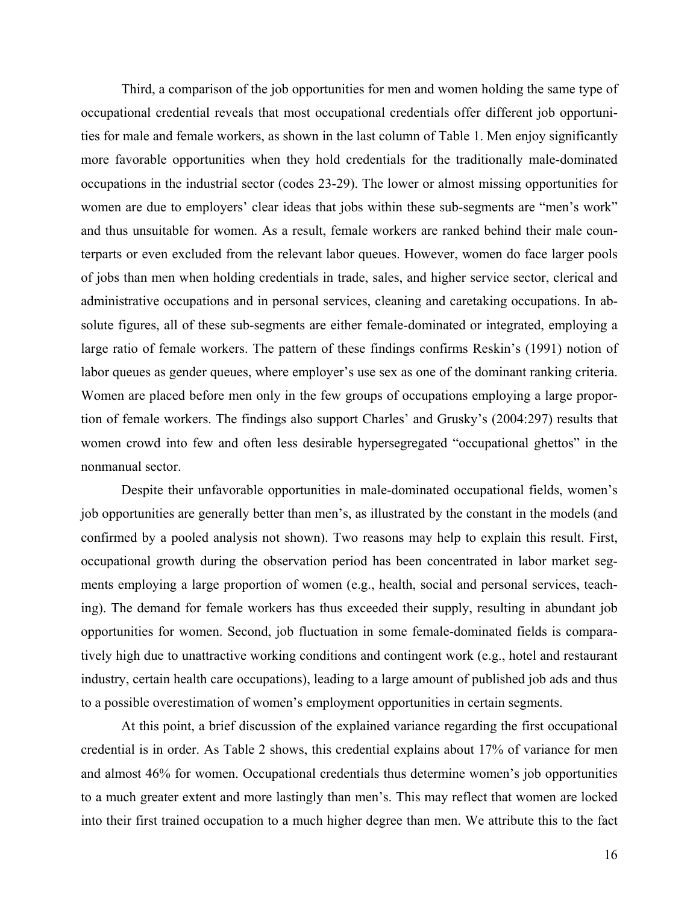Third, a comparison of the job opportunities for men and women holding the same type of occupational credential reveals that most occupational credentials offer different job opportunities for male and female workers, as shown in the last column of Table 1. Men enjoy significantly more favorable opportunities when they hold credentials for the traditionally male-dominated occupations in the industrial sector (codes 23-29). The lower or almost missing opportunities for women are due to employers' clear ideas that jobs within these sub-segments are "men's work" and thus unsuitable for women. As a result, female workers are ranked behind their male counterparts or even excluded from the relevant labor queues. However, women do face larger pools of jobs than men when holding credentials in trade, sales, and higher service sector, clerical and administrative occupations and in personal services, cleaning and caretaking occupations. In absolute figures, all of these sub-segments are either female-dominated or integrated, employing a large ratio of female workers. The pattern of these findings confirms Reskin's (1991) notion of labor queues as gender queues, where employer's use sex as one of the dominant ranking criteria. Women are placed before men only in the few groups of occupations employing a large proportion of female workers. The findings also support Charles' and Grusky's (2004:297) results that women crowd into few and often less desirable hypersegregated "occupational ghettos" in the nonmanual sector.

Despite their unfavorable opportunities in male-dominated occupational fields, women's job opportunities are generally better than men's, as illustrated by the constant in the models (and confirmed by a pooled analysis not shown). Two reasons may help to explain this result. First, occupational growth during the observation period has been concentrated in labor market segments employing a large proportion of women (e.g., health, social and personal services, teaching). The demand for female workers has thus exceeded their supply, resulting in abundant job opportunities for women. Second, job fluctuation in some female-dominated fields is comparatively high due to unattractive working conditions and contingent work (e.g., hotel and restaurant industry, certain health care occupations), leading to a large amount of published job ads and thus to a possible overestimation of women's employment opportunities in certain segments.

At this point, a brief discussion of the explained variance regarding the first occupational credential is in order. As Table 2 shows, this credential explains about 17% of variance for men and almost 46% for women. Occupational credentials thus determine women's job opportunities to a much greater extent and more lastingly than men's. This may reflect that women are locked into their first trained occupation to a much higher degree than men. We attribute this to the fact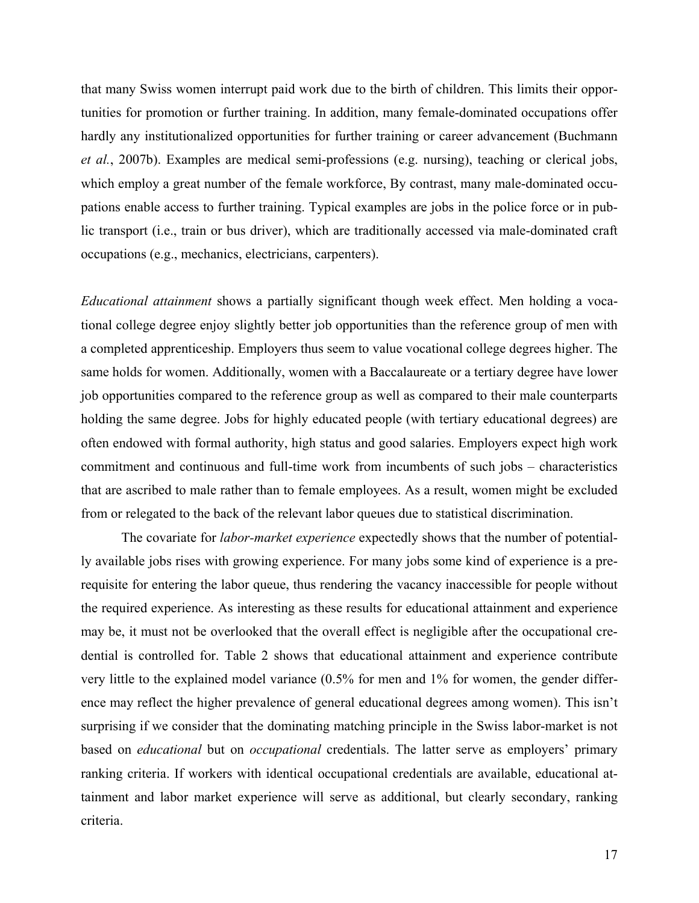that many Swiss women interrupt paid work due to the birth of children. This limits their opportunities for promotion or further training. In addition, many female-dominated occupations offer hardly any institutionalized opportunities for further training or career advancement (Buchmann *et al.*, 2007b). Examples are medical semi-professions (e.g. nursing), teaching or clerical jobs, which employ a great number of the female workforce, By contrast, many male-dominated occupations enable access to further training. Typical examples are jobs in the police force or in public transport (i.e., train or bus driver), which are traditionally accessed via male-dominated craft occupations (e.g., mechanics, electricians, carpenters).

*Educational attainment* shows a partially significant though week effect. Men holding a vocational college degree enjoy slightly better job opportunities than the reference group of men with a completed apprenticeship. Employers thus seem to value vocational college degrees higher. The same holds for women. Additionally, women with a Baccalaureate or a tertiary degree have lower job opportunities compared to the reference group as well as compared to their male counterparts holding the same degree. Jobs for highly educated people (with tertiary educational degrees) are often endowed with formal authority, high status and good salaries. Employers expect high work commitment and continuous and full-time work from incumbents of such jobs – characteristics that are ascribed to male rather than to female employees. As a result, women might be excluded from or relegated to the back of the relevant labor queues due to statistical discrimination.

The covariate for *labor-market experience* expectedly shows that the number of potentially available jobs rises with growing experience. For many jobs some kind of experience is a prerequisite for entering the labor queue, thus rendering the vacancy inaccessible for people without the required experience. As interesting as these results for educational attainment and experience may be, it must not be overlooked that the overall effect is negligible after the occupational credential is controlled for. Table 2 shows that educational attainment and experience contribute very little to the explained model variance (0.5% for men and 1% for women, the gender difference may reflect the higher prevalence of general educational degrees among women). This isn't surprising if we consider that the dominating matching principle in the Swiss labor-market is not based on *educational* but on *occupational* credentials. The latter serve as employers' primary ranking criteria. If workers with identical occupational credentials are available, educational attainment and labor market experience will serve as additional, but clearly secondary, ranking criteria.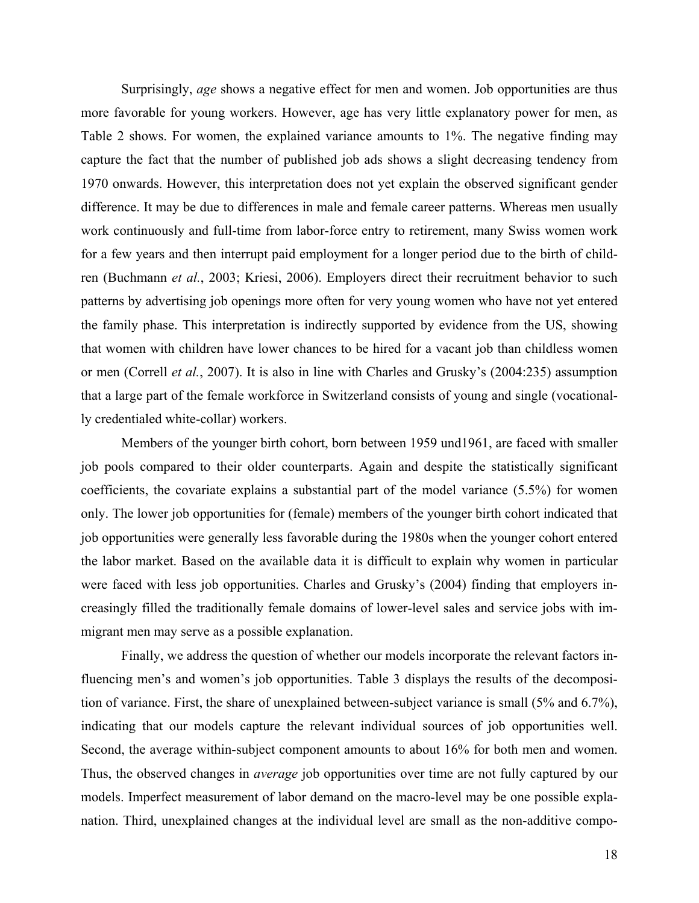Surprisingly, *age* shows a negative effect for men and women. Job opportunities are thus more favorable for young workers. However, age has very little explanatory power for men, as Table 2 shows. For women, the explained variance amounts to 1%. The negative finding may capture the fact that the number of published job ads shows a slight decreasing tendency from 1970 onwards. However, this interpretation does not yet explain the observed significant gender difference. It may be due to differences in male and female career patterns. Whereas men usually work continuously and full-time from labor-force entry to retirement, many Swiss women work for a few years and then interrupt paid employment for a longer period due to the birth of children (Buchmann *et al.*, 2003; Kriesi, 2006). Employers direct their recruitment behavior to such patterns by advertising job openings more often for very young women who have not yet entered the family phase. This interpretation is indirectly supported by evidence from the US, showing that women with children have lower chances to be hired for a vacant job than childless women or men (Correll *et al.*, 2007). It is also in line with Charles and Grusky's (2004:235) assumption that a large part of the female workforce in Switzerland consists of young and single (vocationally credentialed white-collar) workers.

Members of the younger birth cohort, born between 1959 und1961, are faced with smaller job pools compared to their older counterparts. Again and despite the statistically significant coefficients, the covariate explains a substantial part of the model variance (5.5%) for women only. The lower job opportunities for (female) members of the younger birth cohort indicated that job opportunities were generally less favorable during the 1980s when the younger cohort entered the labor market. Based on the available data it is difficult to explain why women in particular were faced with less job opportunities. Charles and Grusky's (2004) finding that employers increasingly filled the traditionally female domains of lower-level sales and service jobs with immigrant men may serve as a possible explanation.

Finally, we address the question of whether our models incorporate the relevant factors influencing men's and women's job opportunities. Table 3 displays the results of the decomposition of variance. First, the share of unexplained between-subject variance is small (5% and 6.7%), indicating that our models capture the relevant individual sources of job opportunities well. Second, the average within-subject component amounts to about 16% for both men and women. Thus, the observed changes in *average* job opportunities over time are not fully captured by our models. Imperfect measurement of labor demand on the macro-level may be one possible explanation. Third, unexplained changes at the individual level are small as the non-additive compo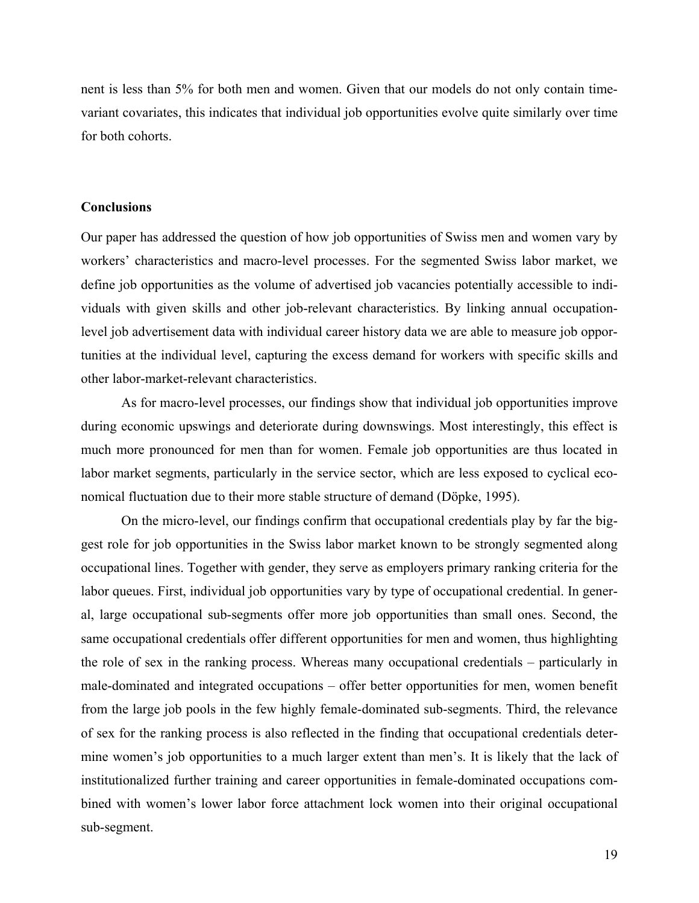nent is less than 5% for both men and women. Given that our models do not only contain timevariant covariates, this indicates that individual job opportunities evolve quite similarly over time for both cohorts.

## **Conclusions**

Our paper has addressed the question of how job opportunities of Swiss men and women vary by workers' characteristics and macro-level processes. For the segmented Swiss labor market, we define job opportunities as the volume of advertised job vacancies potentially accessible to individuals with given skills and other job-relevant characteristics. By linking annual occupationlevel job advertisement data with individual career history data we are able to measure job opportunities at the individual level, capturing the excess demand for workers with specific skills and other labor-market-relevant characteristics.

As for macro-level processes, our findings show that individual job opportunities improve during economic upswings and deteriorate during downswings. Most interestingly, this effect is much more pronounced for men than for women. Female job opportunities are thus located in labor market segments, particularly in the service sector, which are less exposed to cyclical economical fluctuation due to their more stable structure of demand (Döpke, 1995).

On the micro-level, our findings confirm that occupational credentials play by far the biggest role for job opportunities in the Swiss labor market known to be strongly segmented along occupational lines. Together with gender, they serve as employers primary ranking criteria for the labor queues. First, individual job opportunities vary by type of occupational credential. In general, large occupational sub-segments offer more job opportunities than small ones. Second, the same occupational credentials offer different opportunities for men and women, thus highlighting the role of sex in the ranking process. Whereas many occupational credentials – particularly in male-dominated and integrated occupations – offer better opportunities for men, women benefit from the large job pools in the few highly female-dominated sub-segments. Third, the relevance of sex for the ranking process is also reflected in the finding that occupational credentials determine women's job opportunities to a much larger extent than men's. It is likely that the lack of institutionalized further training and career opportunities in female-dominated occupations combined with women's lower labor force attachment lock women into their original occupational sub-segment.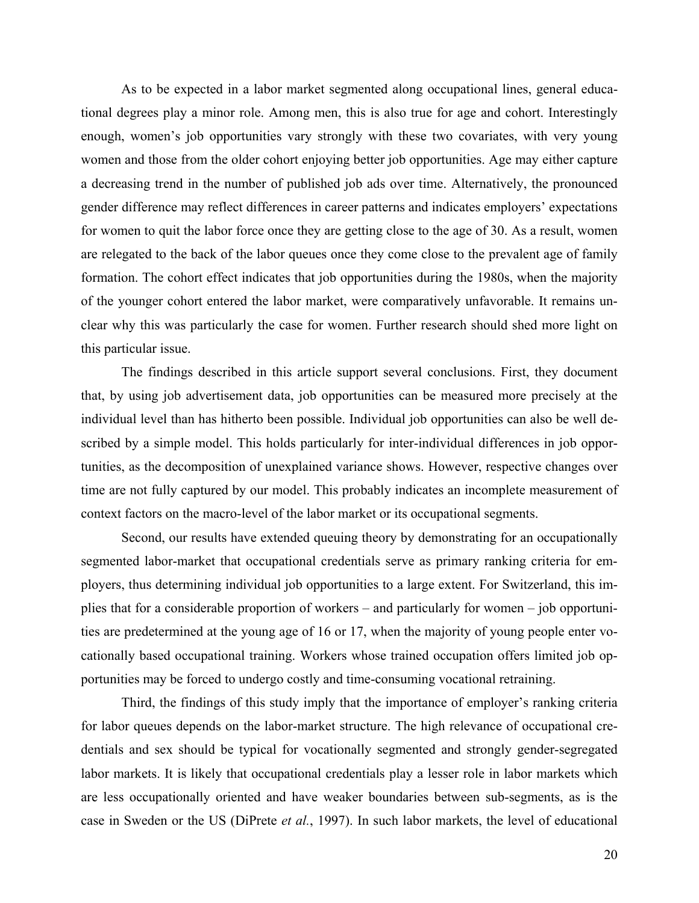As to be expected in a labor market segmented along occupational lines, general educational degrees play a minor role. Among men, this is also true for age and cohort. Interestingly enough, women's job opportunities vary strongly with these two covariates, with very young women and those from the older cohort enjoying better job opportunities. Age may either capture a decreasing trend in the number of published job ads over time. Alternatively, the pronounced gender difference may reflect differences in career patterns and indicates employers' expectations for women to quit the labor force once they are getting close to the age of 30. As a result, women are relegated to the back of the labor queues once they come close to the prevalent age of family formation. The cohort effect indicates that job opportunities during the 1980s, when the majority of the younger cohort entered the labor market, were comparatively unfavorable. It remains unclear why this was particularly the case for women. Further research should shed more light on this particular issue.

The findings described in this article support several conclusions. First, they document that, by using job advertisement data, job opportunities can be measured more precisely at the individual level than has hitherto been possible. Individual job opportunities can also be well described by a simple model. This holds particularly for inter-individual differences in job opportunities, as the decomposition of unexplained variance shows. However, respective changes over time are not fully captured by our model. This probably indicates an incomplete measurement of context factors on the macro-level of the labor market or its occupational segments.

Second, our results have extended queuing theory by demonstrating for an occupationally segmented labor-market that occupational credentials serve as primary ranking criteria for employers, thus determining individual job opportunities to a large extent. For Switzerland, this implies that for a considerable proportion of workers – and particularly for women – job opportunities are predetermined at the young age of 16 or 17, when the majority of young people enter vocationally based occupational training. Workers whose trained occupation offers limited job opportunities may be forced to undergo costly and time-consuming vocational retraining.

Third, the findings of this study imply that the importance of employer's ranking criteria for labor queues depends on the labor-market structure. The high relevance of occupational credentials and sex should be typical for vocationally segmented and strongly gender-segregated labor markets. It is likely that occupational credentials play a lesser role in labor markets which are less occupationally oriented and have weaker boundaries between sub-segments, as is the case in Sweden or the US (DiPrete *et al.*, 1997). In such labor markets, the level of educational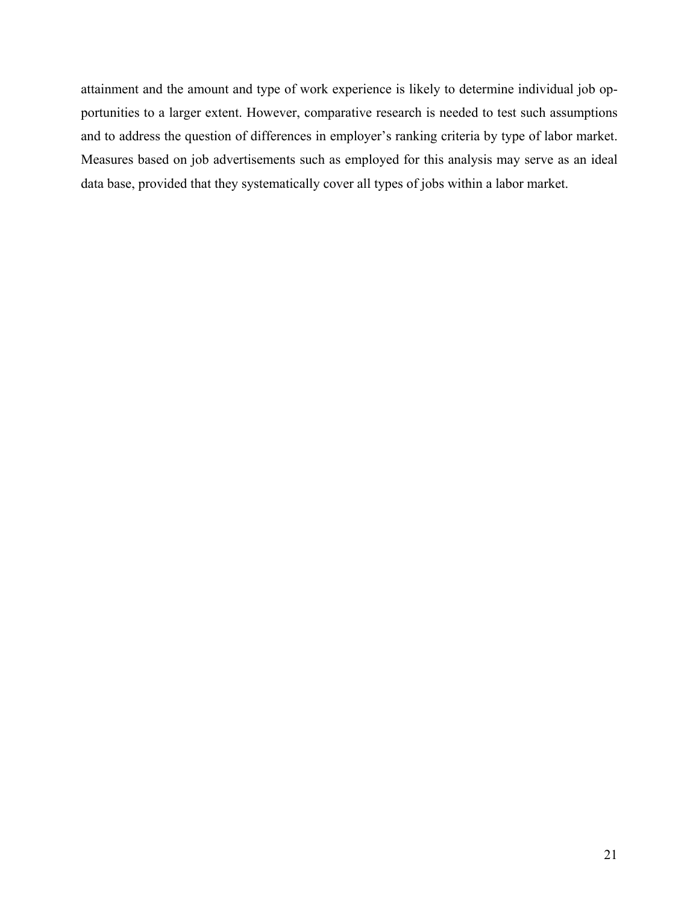attainment and the amount and type of work experience is likely to determine individual job opportunities to a larger extent. However, comparative research is needed to test such assumptions and to address the question of differences in employer's ranking criteria by type of labor market. Measures based on job advertisements such as employed for this analysis may serve as an ideal data base, provided that they systematically cover all types of jobs within a labor market.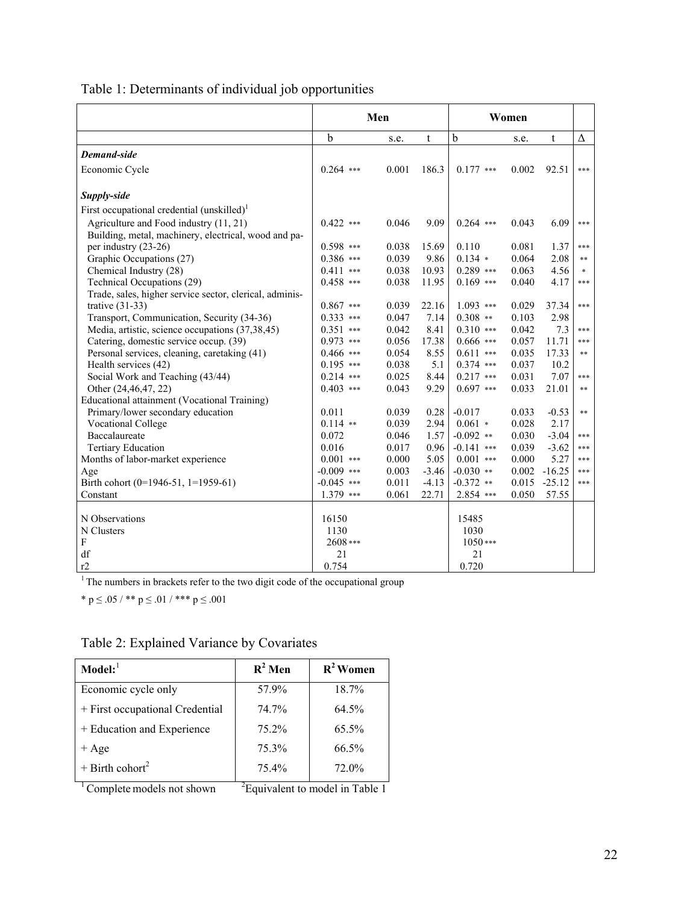|                                                         | Men          |       |         | Women        |       |          |            |
|---------------------------------------------------------|--------------|-------|---------|--------------|-------|----------|------------|
|                                                         | $\mathbf b$  | s.e.  | t       | $\mathbf b$  | s.e.  | t        | Δ          |
| <b>Demand-side</b>                                      |              |       |         |              |       |          |            |
| Economic Cycle                                          | $0.264$ ***  | 0.001 | 186.3   | $0.177$ ***  | 0.002 | 92.51    | ***        |
| Supply-side                                             |              |       |         |              |       |          |            |
| First occupational credential (unskilled) <sup>1</sup>  |              |       |         |              |       |          |            |
| Agriculture and Food industry (11, 21)                  | $0.422$ ***  | 0.046 | 9.09    | $0.264$ ***  | 0.043 | 6.09     | ***        |
| Building, metal, machinery, electrical, wood and pa-    |              |       |         |              |       |          |            |
| per industry (23-26)                                    | $0.598$ ***  | 0.038 | 15.69   | 0.110        | 0.081 | 1.37     | ***        |
| Graphic Occupations (27)                                | $0.386$ ***  | 0.039 | 9.86    | $0.134$ *    | 0.064 | 2.08     | $**$       |
| Chemical Industry (28)                                  | $0.411$ ***  | 0.038 | 10.93   | $0.289$ ***  | 0.063 | 4.56     | $\ast$     |
| Technical Occupations (29)                              | $0.458$ ***  | 0.038 | 11.95   | $0.169$ ***  | 0.040 | 4.17     | ***        |
| Trade, sales, higher service sector, clerical, adminis- |              |       |         |              |       |          |            |
| trative $(31-33)$                                       | $0.867$ ***  | 0.039 | 22.16   | $1.093$ ***  | 0.029 | 37.34    | ***        |
| Transport, Communication, Security (34-36)              | $0.333$ ***  | 0.047 | 7.14    | $0.308$ **   | 0.103 | 2.98     |            |
| Media, artistic, science occupations (37,38,45)         | $0.351$ ***  | 0.042 | 8.41    | $0.310$ ***  | 0.042 | 7.3      | ***        |
| Catering, domestic service occup. (39)                  | $0.973$ ***  | 0.056 | 17.38   | $0.666$ ***  | 0.057 | 11.71    | ***        |
| Personal services, cleaning, caretaking (41)            | $0.466$ ***  | 0.054 | 8.55    | $0.611$ ***  | 0.035 | 17.33    | $\ast\ast$ |
| Health services (42)                                    | $0.195$ ***  | 0.038 | 5.1     | $0.374$ ***  | 0.037 | 10.2     |            |
| Social Work and Teaching (43/44)                        | $0.214$ ***  | 0.025 | 8.44    | $0.217$ ***  | 0.031 | 7.07     | ***        |
| Other (24,46,47, 22)                                    | $0.403$ ***  | 0.043 | 9.29    | $0.697$ ***  | 0.033 | 21.01    | $\ast\ast$ |
| Educational attainment (Vocational Training)            |              |       |         |              |       |          |            |
| Primary/lower secondary education                       | 0.011        | 0.039 | 0.28    | $-0.017$     | 0.033 | $-0.53$  | $**$       |
| <b>Vocational College</b>                               | $0.114$ **   | 0.039 | 2.94    | $0.061$ *    | 0.028 | 2.17     |            |
| Baccalaureate                                           | 0.072        | 0.046 | 1.57    | $-0.092$ **  | 0.030 | $-3.04$  | ***        |
| <b>Tertiary Education</b>                               | 0.016        | 0.017 | 0.96    | $-0.141$ *** | 0.039 | $-3.62$  | ***        |
| Months of labor-market experience                       | $0.001$ ***  | 0.000 | 5.05    | $0.001$ ***  | 0.000 | 5.27     | ***        |
| Age                                                     | $-0.009$ *** | 0.003 | $-3.46$ | $-0.030$ **  | 0.002 | $-16.25$ | ***        |
| Birth cohort (0=1946-51, 1=1959-61)                     | $-0.045$ *** | 0.011 | $-4.13$ | $-0.372$ **  | 0.015 | $-25.12$ | ***        |
| Constant                                                | $1.379$ ***  | 0.061 | 22.71   | 2.854 ***    | 0.050 | 57.55    |            |
|                                                         |              |       |         |              |       |          |            |
| N Observations                                          | 16150        |       |         | 15485        |       |          |            |
| N Clusters                                              | 1130         |       |         | 1030         |       |          |            |
| $\boldsymbol{\mathrm{F}}$                               | 2608***      |       |         | $1050***$    |       |          |            |
| df                                                      | 21           |       |         | 21           |       |          |            |
| r2                                                      | 0.754        |       |         | 0.720        |       |          |            |

Table 1: Determinants of individual job opportunities

<sup>1</sup> The numbers in brackets refer to the two digit code of the occupational group

\* p  $\leq$  .05 / \*\* p  $\leq$  .01 / \*\*\* p  $\leq$  .001

| Table 2: Explained Variance by Covariates |  |  |
|-------------------------------------------|--|--|
|                                           |  |  |

| $\mathbf{Model:}^1$                              | $R^2$ Men | $R^2$ Women |
|--------------------------------------------------|-----------|-------------|
| Economic cycle only                              | 57.9%     | 18.7%       |
| + First occupational Credential                  | 74.7%     | $64.5\%$    |
| + Education and Experience                       | 75.2%     | $65.5\%$    |
| $+$ Age                                          | 75.3%     | 66.5%       |
| $+$ Birth cohort <sup>2</sup>                    | 75.4%     | 72.0%       |
| $\sim$ $\sim$ $\sim$ $\sim$ $\sim$ $\sim$ $\sim$ |           | .<br>- 11   |

 $1$  Complete models not shown <sup>2</sup>Equivalent to model in Table 1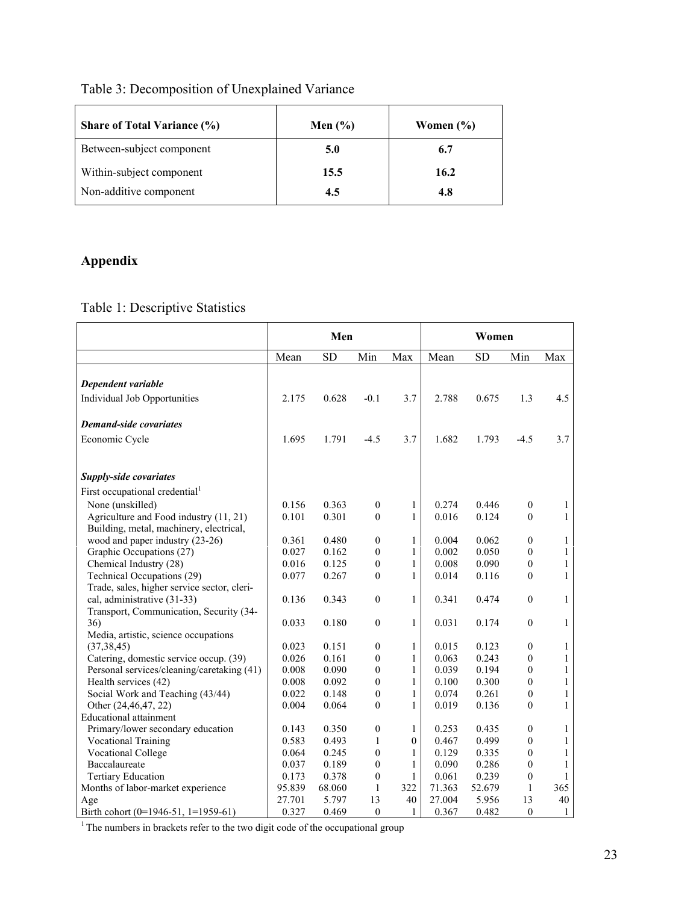## Table 3: Decomposition of Unexplained Variance

| <b>Share of Total Variance (%)</b> | Men $(\% )$ | Women $(\% )$ |
|------------------------------------|-------------|---------------|
| Between-subject component          | 5.0         | 6.7           |
| Within-subject component           | 15.5        | 16.2          |
| Non-additive component             | 4.5         | 4.8           |

# **Appendix**

Table 1: Descriptive Statistics

|                                             | Men    |           |                  | Women            |        |           |                  |              |
|---------------------------------------------|--------|-----------|------------------|------------------|--------|-----------|------------------|--------------|
|                                             | Mean   | <b>SD</b> | Min              | Max              | Mean   | <b>SD</b> | Min              | Max          |
|                                             |        |           |                  |                  |        |           |                  |              |
| Dependent variable                          |        |           |                  |                  |        |           |                  |              |
| Individual Job Opportunities                | 2.175  | 0.628     | $-0.1$           | 3.7              | 2.788  | 0.675     | 1.3              | 4.5          |
| <b>Demand-side covariates</b>               |        |           |                  |                  |        |           |                  |              |
| Economic Cycle                              | 1.695  | 1.791     | $-4.5$           | 3.7              | 1.682  | 1.793     | $-4.5$           | 3.7          |
|                                             |        |           |                  |                  |        |           |                  |              |
| <b>Supply-side covariates</b>               |        |           |                  |                  |        |           |                  |              |
| First occupational credential <sup>1</sup>  |        |           |                  |                  |        |           |                  |              |
| None (unskilled)                            | 0.156  | 0.363     | $\boldsymbol{0}$ | 1                | 0.274  | 0.446     | $\boldsymbol{0}$ | 1            |
| Agriculture and Food industry (11, 21)      | 0.101  | 0.301     | $\overline{0}$   | 1                | 0.016  | 0.124     | $\theta$         | $\mathbf{1}$ |
| Building, metal, machinery, electrical,     |        |           |                  |                  |        |           |                  |              |
| wood and paper industry (23-26)             | 0.361  | 0.480     | $\overline{0}$   | $\mathbf{1}$     | 0.004  | 0.062     | $\boldsymbol{0}$ | $\mathbf{1}$ |
| Graphic Occupations (27)                    | 0.027  | 0.162     | $\boldsymbol{0}$ | $\mathbf{1}$     | 0.002  | 0.050     | $\boldsymbol{0}$ | $\mathbf{1}$ |
| Chemical Industry (28)                      | 0.016  | 0.125     | $\boldsymbol{0}$ | $\mathbf{1}$     | 0.008  | 0.090     | $\boldsymbol{0}$ | $\,1$        |
| Technical Occupations (29)                  | 0.077  | 0.267     | $\boldsymbol{0}$ | $\mathbf{1}$     | 0.014  | 0.116     | $\mathbf{0}$     | $\mathbf{1}$ |
| Trade, sales, higher service sector, cleri- |        |           |                  |                  |        |           |                  |              |
| cal, administrative (31-33)                 | 0.136  | 0.343     | $\boldsymbol{0}$ | 1                | 0.341  | 0.474     | $\mathbf{0}$     | $\mathbf{1}$ |
| Transport, Communication, Security (34-     |        |           |                  |                  |        |           |                  |              |
| 36)                                         | 0.033  | 0.180     | $\boldsymbol{0}$ | 1                | 0.031  | 0.174     | $\mathbf{0}$     | $\mathbf{1}$ |
| Media, artistic, science occupations        |        |           |                  |                  |        |           |                  |              |
| (37, 38, 45)                                | 0.023  | 0.151     | $\overline{0}$   | 1                | 0.015  | 0.123     | $\boldsymbol{0}$ | $\mathbf{1}$ |
| Catering, domestic service occup. (39)      | 0.026  | 0.161     | $\overline{0}$   | $\mathbf{1}$     | 0.063  | 0.243     | $\mathbf{0}$     | $\mathbf{1}$ |
| Personal services/cleaning/caretaking (41)  | 0.008  | 0.090     | $\boldsymbol{0}$ | 1                | 0.039  | 0.194     | $\boldsymbol{0}$ | $\mathbf{1}$ |
| Health services (42)                        | 0.008  | 0.092     | $\boldsymbol{0}$ | 1                | 0.100  | 0.300     | $\boldsymbol{0}$ | $\,1$        |
| Social Work and Teaching (43/44)            | 0.022  | 0.148     | $\boldsymbol{0}$ | $\mathbf{1}$     | 0.074  | 0.261     | $\boldsymbol{0}$ | $\,1$        |
| Other (24,46,47, 22)                        | 0.004  | 0.064     | $\boldsymbol{0}$ | $\mathbf{1}$     | 0.019  | 0.136     | $\boldsymbol{0}$ | $\mathbf{1}$ |
| <b>Educational attainment</b>               |        |           |                  |                  |        |           |                  |              |
| Primary/lower secondary education           | 0.143  | 0.350     | $\boldsymbol{0}$ | 1                | 0.253  | 0.435     | $\boldsymbol{0}$ | 1            |
| Vocational Training                         | 0.583  | 0.493     | $\mathbf{1}$     | $\boldsymbol{0}$ | 0.467  | 0.499     | $\mathbf{0}$     | $\mathbf{1}$ |
| <b>Vocational College</b>                   | 0.064  | 0.245     | $\boldsymbol{0}$ | 1                | 0.129  | 0.335     | $\boldsymbol{0}$ | $\mathbf{1}$ |
| Baccalaureate                               | 0.037  | 0.189     | $\overline{0}$   | 1                | 0.090  | 0.286     | $\mathbf{0}$     | $\mathbf{1}$ |
| <b>Tertiary Education</b>                   | 0.173  | 0.378     | $\overline{0}$   | 1                | 0.061  | 0.239     | $\mathbf{0}$     | $\mathbf{1}$ |
| Months of labor-market experience           | 95.839 | 68.060    | $\mathbf{1}$     | 322              | 71.363 | 52.679    | $\mathbf{1}$     | 365          |
| Age                                         | 27.701 | 5.797     | 13               | 40               | 27.004 | 5.956     | 13               | 40           |
| Birth cohort (0=1946-51, 1=1959-61)         | 0.327  | 0.469     | $\boldsymbol{0}$ | 1                | 0.367  | 0.482     | $\boldsymbol{0}$ | $\mathbf{1}$ |

<sup>1</sup> The numbers in brackets refer to the two digit code of the occupational group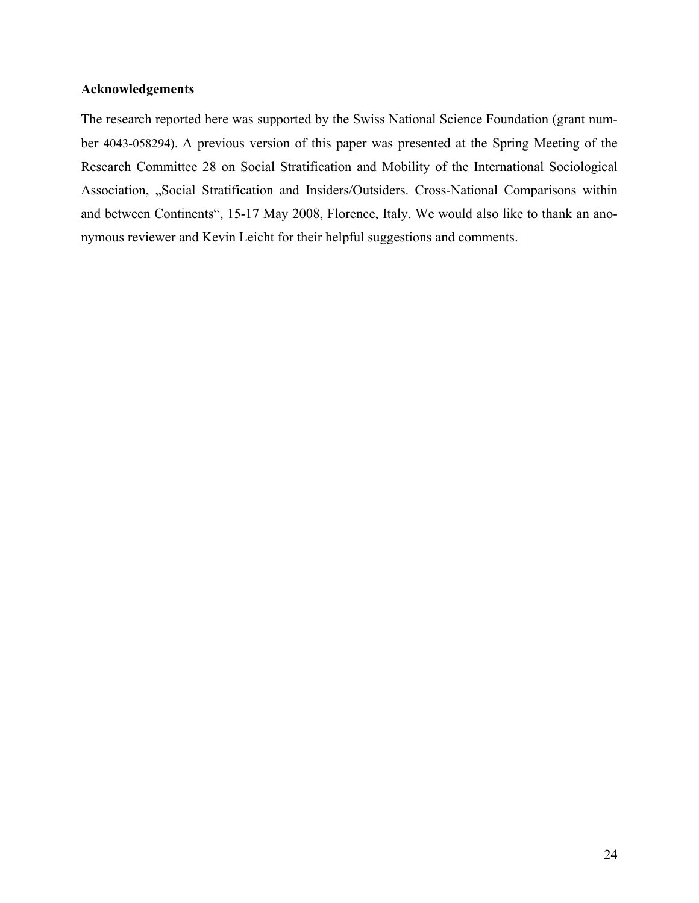## **Acknowledgements**

The research reported here was supported by the Swiss National Science Foundation (grant number 4043-058294). A previous version of this paper was presented at the Spring Meeting of the Research Committee 28 on Social Stratification and Mobility of the International Sociological Association, "Social Stratification and Insiders/Outsiders. Cross-National Comparisons within and between Continents", 15-17 May 2008, Florence, Italy. We would also like to thank an anonymous reviewer and Kevin Leicht for their helpful suggestions and comments.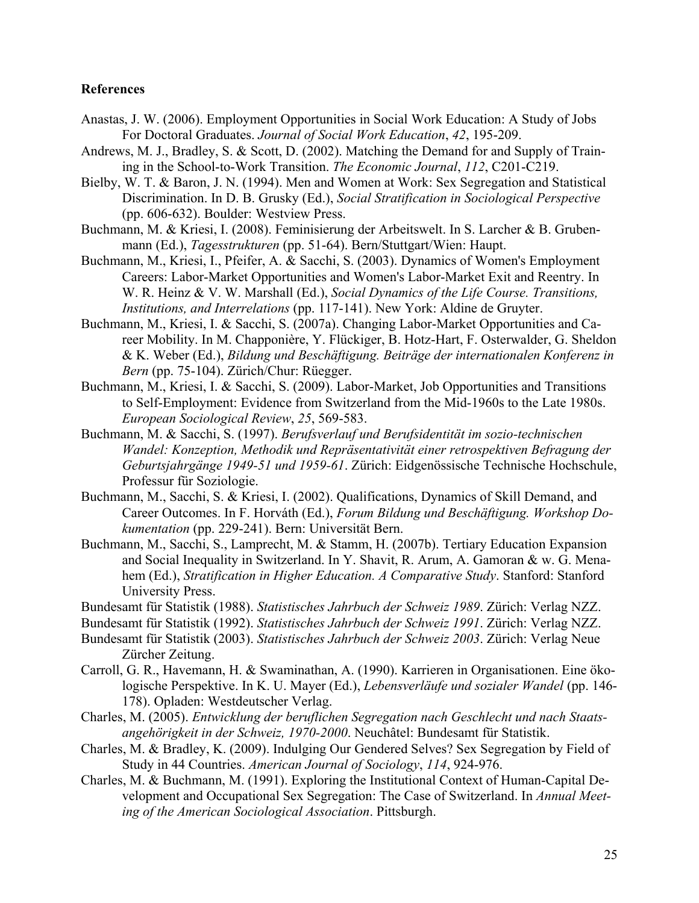## **References**

- Anastas, J. W. (2006). Employment Opportunities in Social Work Education: A Study of Jobs For Doctoral Graduates. *Journal of Social Work Education*, *42*, 195-209.
- Andrews, M. J., Bradley, S. & Scott, D. (2002). Matching the Demand for and Supply of Training in the School-to-Work Transition. *The Economic Journal*, *112*, C201-C219.
- Bielby, W. T. & Baron, J. N. (1994). Men and Women at Work: Sex Segregation and Statistical Discrimination. In D. B. Grusky (Ed.), *Social Stratification in Sociological Perspective* (pp. 606-632). Boulder: Westview Press.
- Buchmann, M. & Kriesi, I. (2008). Feminisierung der Arbeitswelt. In S. Larcher & B. Grubenmann (Ed.), *Tagesstrukturen* (pp. 51-64). Bern/Stuttgart/Wien: Haupt.
- Buchmann, M., Kriesi, I., Pfeifer, A. & Sacchi, S. (2003). Dynamics of Women's Employment Careers: Labor-Market Opportunities and Women's Labor-Market Exit and Reentry. In W. R. Heinz & V. W. Marshall (Ed.), *Social Dynamics of the Life Course. Transitions, Institutions, and Interrelations* (pp. 117-141). New York: Aldine de Gruyter.
- Buchmann, M., Kriesi, I. & Sacchi, S. (2007a). Changing Labor-Market Opportunities and Career Mobility. In M. Chapponière, Y. Flückiger, B. Hotz-Hart, F. Osterwalder, G. Sheldon & K. Weber (Ed.), *Bildung und Beschäftigung. Beiträge der internationalen Konferenz in Bern* (pp. 75-104). Zürich/Chur: Rüegger.
- Buchmann, M., Kriesi, I. & Sacchi, S. (2009). Labor-Market, Job Opportunities and Transitions to Self-Employment: Evidence from Switzerland from the Mid-1960s to the Late 1980s. *European Sociological Review*, *25*, 569-583.
- Buchmann, M. & Sacchi, S. (1997). *Berufsverlauf und Berufsidentität im sozio-technischen Wandel: Konzeption, Methodik und Repräsentativität einer retrospektiven Befragung der Geburtsjahrgänge 1949-51 und 1959-61*. Zürich: Eidgenössische Technische Hochschule, Professur für Soziologie.
- Buchmann, M., Sacchi, S. & Kriesi, I. (2002). Qualifications, Dynamics of Skill Demand, and Career Outcomes. In F. Horváth (Ed.), *Forum Bildung und Beschäftigung. Workshop Dokumentation* (pp. 229-241). Bern: Universität Bern.
- Buchmann, M., Sacchi, S., Lamprecht, M. & Stamm, H. (2007b). Tertiary Education Expansion and Social Inequality in Switzerland. In Y. Shavit, R. Arum, A. Gamoran & w. G. Menahem (Ed.), *Stratification in Higher Education. A Comparative Study*. Stanford: Stanford University Press.
- Bundesamt für Statistik (1988). *Statistisches Jahrbuch der Schweiz 1989*. Zürich: Verlag NZZ.
- Bundesamt für Statistik (1992). *Statistisches Jahrbuch der Schweiz 1991*. Zürich: Verlag NZZ.
- Bundesamt für Statistik (2003). *Statistisches Jahrbuch der Schweiz 2003*. Zürich: Verlag Neue Zürcher Zeitung.
- Carroll, G. R., Havemann, H. & Swaminathan, A. (1990). Karrieren in Organisationen. Eine ökologische Perspektive. In K. U. Mayer (Ed.), *Lebensverläufe und sozialer Wandel* (pp. 146- 178). Opladen: Westdeutscher Verlag.
- Charles, M. (2005). *Entwicklung der beruflichen Segregation nach Geschlecht und nach Staatsangehörigkeit in der Schweiz, 1970-2000*. Neuchâtel: Bundesamt für Statistik.
- Charles, M. & Bradley, K. (2009). Indulging Our Gendered Selves? Sex Segregation by Field of Study in 44 Countries. *American Journal of Sociology*, *114*, 924-976.
- Charles, M. & Buchmann, M. (1991). Exploring the Institutional Context of Human-Capital Development and Occupational Sex Segregation: The Case of Switzerland. In *Annual Meeting of the American Sociological Association*. Pittsburgh.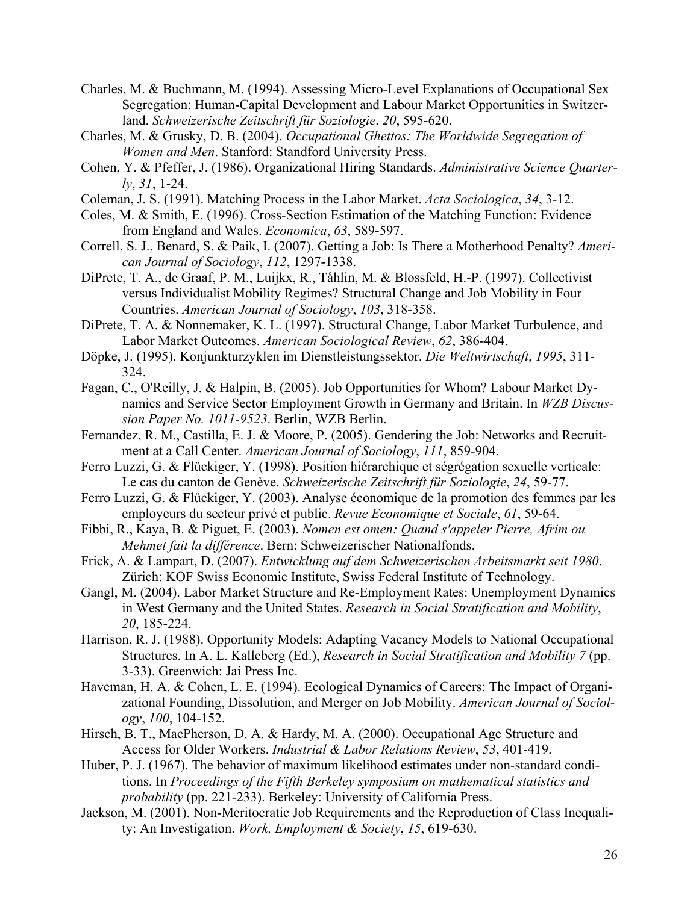- Charles, M. & Buchmann, M. (1994). Assessing Micro-Level Explanations of Occupational Sex Segregation: Human-Capital Development and Labour Market Opportunities in Switzerland. *Schweizerische Zeitschrift für Soziologie*, *20*, 595-620.
- Charles, M. & Grusky, D. B. (2004). *Occupational Ghettos: The Worldwide Segregation of Women and Men*. Stanford: Standford University Press.
- Cohen, Y. & Pfeffer, J. (1986). Organizational Hiring Standards. *Administrative Science Quarterly*, *31*, 1-24.
- Coleman, J. S. (1991). Matching Process in the Labor Market. *Acta Sociologica*, *34*, 3-12.
- Coles, M. & Smith, E. (1996). Cross-Section Estimation of the Matching Function: Evidence from England and Wales. *Economica*, *63*, 589-597.
- Correll, S. J., Benard, S. & Paik, I. (2007). Getting a Job: Is There a Motherhood Penalty? *American Journal of Sociology*, *112*, 1297-1338.
- DiPrete, T. A., de Graaf, P. M., Luijkx, R., Tåhlin, M. & Blossfeld, H.-P. (1997). Collectivist versus Individualist Mobility Regimes? Structural Change and Job Mobility in Four Countries. *American Journal of Sociology*, *103*, 318-358.
- DiPrete, T. A. & Nonnemaker, K. L. (1997). Structural Change, Labor Market Turbulence, and Labor Market Outcomes. *American Sociological Review*, *62*, 386-404.
- Döpke, J. (1995). Konjunkturzyklen im Dienstleistungssektor. *Die Weltwirtschaft*, *1995*, 311- 324.
- Fagan, C., O'Reilly, J. & Halpin, B. (2005). Job Opportunities for Whom? Labour Market Dynamics and Service Sector Employment Growth in Germany and Britain. In *WZB Discussion Paper No. 1011-9523*. Berlin, WZB Berlin.
- Fernandez, R. M., Castilla, E. J. & Moore, P. (2005). Gendering the Job: Networks and Recruitment at a Call Center. *American Journal of Sociology*, *111*, 859-904.
- Ferro Luzzi, G. & Flückiger, Y. (1998). Position hiérarchique et ségrégation sexuelle verticale: Le cas du canton de Genève. *Schweizerische Zeitschrift für Soziologie*, *24*, 59-77.
- Ferro Luzzi, G. & Flückiger, Y. (2003). Analyse économique de la promotion des femmes par les employeurs du secteur privé et public. *Revue Economique et Sociale*, *61*, 59-64.
- Fibbi, R., Kaya, B. & Piguet, E. (2003). *Nomen est omen: Quand s'appeler Pierre, Afrim ou Mehmet fait la différence*. Bern: Schweizerischer Nationalfonds.
- Frick, A. & Lampart, D. (2007). *Entwicklung auf dem Schweizerischen Arbeitsmarkt seit 1980*. Zürich: KOF Swiss Economic Institute, Swiss Federal Institute of Technology.
- Gangl, M. (2004). Labor Market Structure and Re-Employment Rates: Unemployment Dynamics in West Germany and the United States. *Research in Social Stratification and Mobility*, *20*, 185-224.
- Harrison, R. J. (1988). Opportunity Models: Adapting Vacancy Models to National Occupational Structures. In A. L. Kalleberg (Ed.), *Research in Social Stratification and Mobility 7* (pp. 3-33). Greenwich: Jai Press Inc.
- Haveman, H. A. & Cohen, L. E. (1994). Ecological Dynamics of Careers: The Impact of Organizational Founding, Dissolution, and Merger on Job Mobility. *American Journal of Sociology*, *100*, 104-152.
- Hirsch, B. T., MacPherson, D. A. & Hardy, M. A. (2000). Occupational Age Structure and Access for Older Workers. *Industrial & Labor Relations Review*, *53*, 401-419.
- Huber, P. J. (1967). The behavior of maximum likelihood estimates under non-standard conditions. In *Proceedings of the Fifth Berkeley symposium on mathematical statistics and probability* (pp. 221-233). Berkeley: University of California Press.
- Jackson, M. (2001). Non-Meritocratic Job Requirements and the Reproduction of Class Inequality: An Investigation. *Work, Employment & Society*, *15*, 619-630.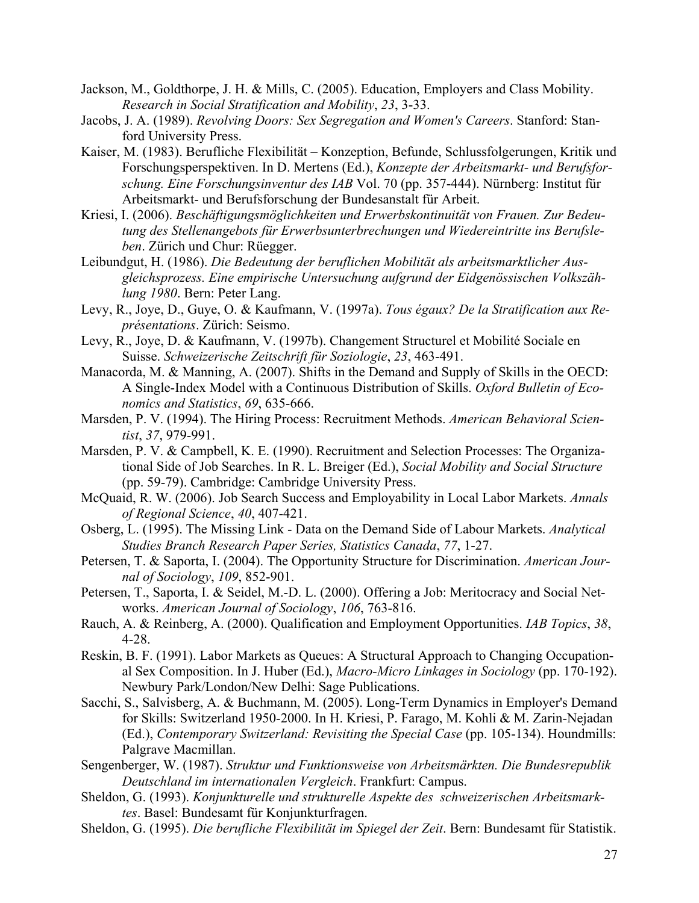- Jackson, M., Goldthorpe, J. H. & Mills, C. (2005). Education, Employers and Class Mobility. *Research in Social Stratification and Mobility*, *23*, 3-33.
- Jacobs, J. A. (1989). *Revolving Doors: Sex Segregation and Women's Careers*. Stanford: Stanford University Press.
- Kaiser, M. (1983). Berufliche Flexibilität Konzeption, Befunde, Schlussfolgerungen, Kritik und Forschungsperspektiven. In D. Mertens (Ed.), *Konzepte der Arbeitsmarkt- und Berufsforschung. Eine Forschungsinventur des IAB* Vol. 70 (pp. 357-444). Nürnberg: Institut für Arbeitsmarkt- und Berufsforschung der Bundesanstalt für Arbeit.
- Kriesi, I. (2006). *Beschäftigungsmöglichkeiten und Erwerbskontinuität von Frauen. Zur Bedeutung des Stellenangebots für Erwerbsunterbrechungen und Wiedereintritte ins Berufsleben*. Zürich und Chur: Rüegger.
- Leibundgut, H. (1986). *Die Bedeutung der beruflichen Mobilität als arbeitsmarktlicher Ausgleichsprozess. Eine empirische Untersuchung aufgrund der Eidgenössischen Volkszählung 1980*. Bern: Peter Lang.
- Levy, R., Joye, D., Guye, O. & Kaufmann, V. (1997a). *Tous égaux? De la Stratification aux Représentations*. Zürich: Seismo.
- Levy, R., Joye, D. & Kaufmann, V. (1997b). Changement Structurel et Mobilité Sociale en Suisse. *Schweizerische Zeitschrift für Soziologie*, *23*, 463-491.
- Manacorda, M. & Manning, A. (2007). Shifts in the Demand and Supply of Skills in the OECD: A Single-Index Model with a Continuous Distribution of Skills. *Oxford Bulletin of Economics and Statistics*, *69*, 635-666.
- Marsden, P. V. (1994). The Hiring Process: Recruitment Methods. *American Behavioral Scientist*, *37*, 979-991.
- Marsden, P. V. & Campbell, K. E. (1990). Recruitment and Selection Processes: The Organizational Side of Job Searches. In R. L. Breiger (Ed.), *Social Mobility and Social Structure* (pp. 59-79). Cambridge: Cambridge University Press.
- McQuaid, R. W. (2006). Job Search Success and Employability in Local Labor Markets. *Annals of Regional Science*, *40*, 407-421.
- Osberg, L. (1995). The Missing Link Data on the Demand Side of Labour Markets. *Analytical Studies Branch Research Paper Series, Statistics Canada*, *77*, 1-27.
- Petersen, T. & Saporta, I. (2004). The Opportunity Structure for Discrimination. *American Journal of Sociology*, *109*, 852-901.
- Petersen, T., Saporta, I. & Seidel, M.-D. L. (2000). Offering a Job: Meritocracy and Social Networks. *American Journal of Sociology*, *106*, 763-816.
- Rauch, A. & Reinberg, A. (2000). Qualification and Employment Opportunities. *IAB Topics*, *38*, 4-28.
- Reskin, B. F. (1991). Labor Markets as Queues: A Structural Approach to Changing Occupational Sex Composition. In J. Huber (Ed.), *Macro-Micro Linkages in Sociology* (pp. 170-192). Newbury Park/London/New Delhi: Sage Publications.
- Sacchi, S., Salvisberg, A. & Buchmann, M. (2005). Long-Term Dynamics in Employer's Demand for Skills: Switzerland 1950-2000. In H. Kriesi, P. Farago, M. Kohli & M. Zarin-Nejadan (Ed.), *Contemporary Switzerland: Revisiting the Special Case* (pp. 105-134). Houndmills: Palgrave Macmillan.
- Sengenberger, W. (1987). *Struktur und Funktionsweise von Arbeitsmärkten. Die Bundesrepublik Deutschland im internationalen Vergleich*. Frankfurt: Campus.
- Sheldon, G. (1993). *Konjunkturelle und strukturelle Aspekte des schweizerischen Arbeitsmarktes*. Basel: Bundesamt für Konjunkturfragen.
- Sheldon, G. (1995). *Die berufliche Flexibilität im Spiegel der Zeit*. Bern: Bundesamt für Statistik.